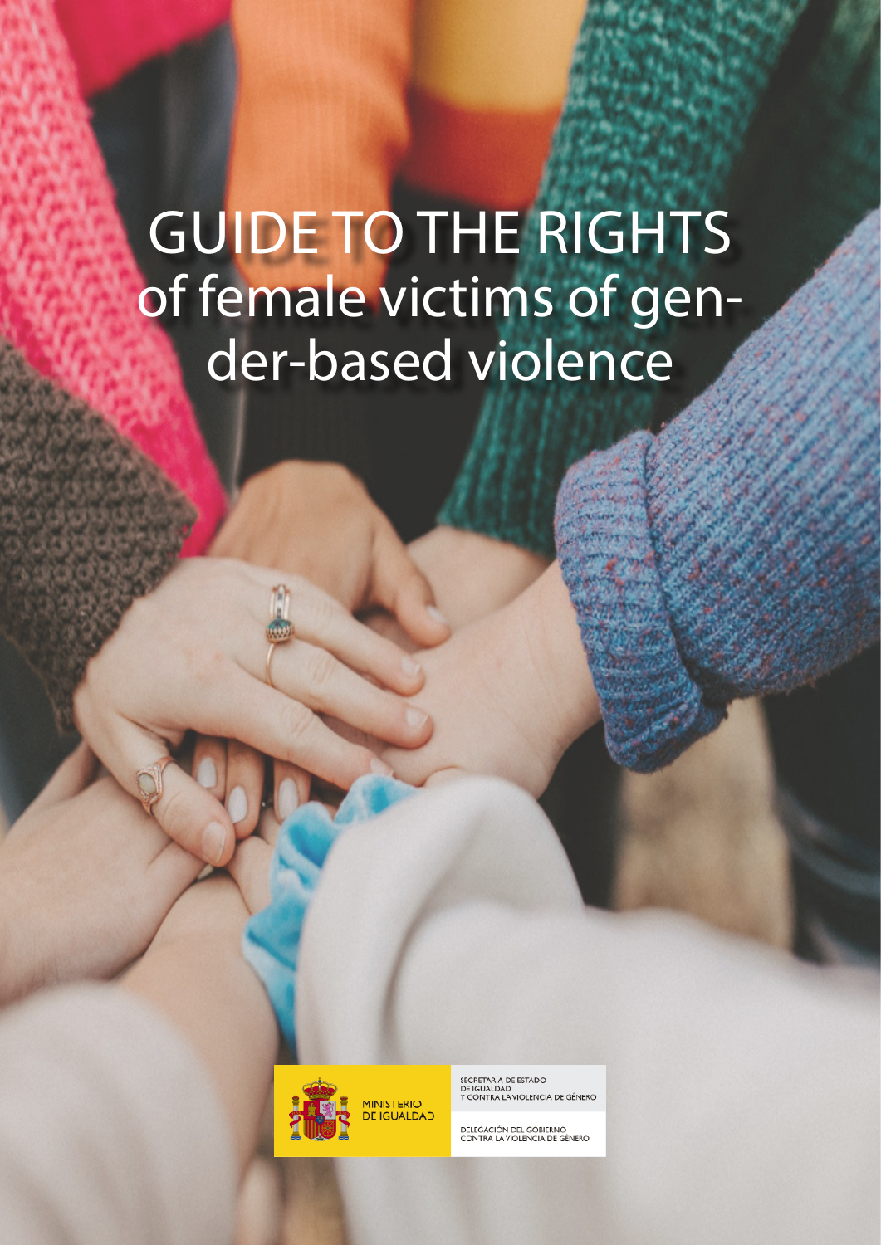# GUIDE TO THE RIGHTS of female victims of gender-based violence



SECRETARÍA DE ESTADO<br>DE IGUALDAD<br>Y CONTRA LA VIOLENCIA DE GÉNERO

DELEGACIÓN DEL GOBIERNO<br>CONTRA LA VIOLENCIA DE GÉNERO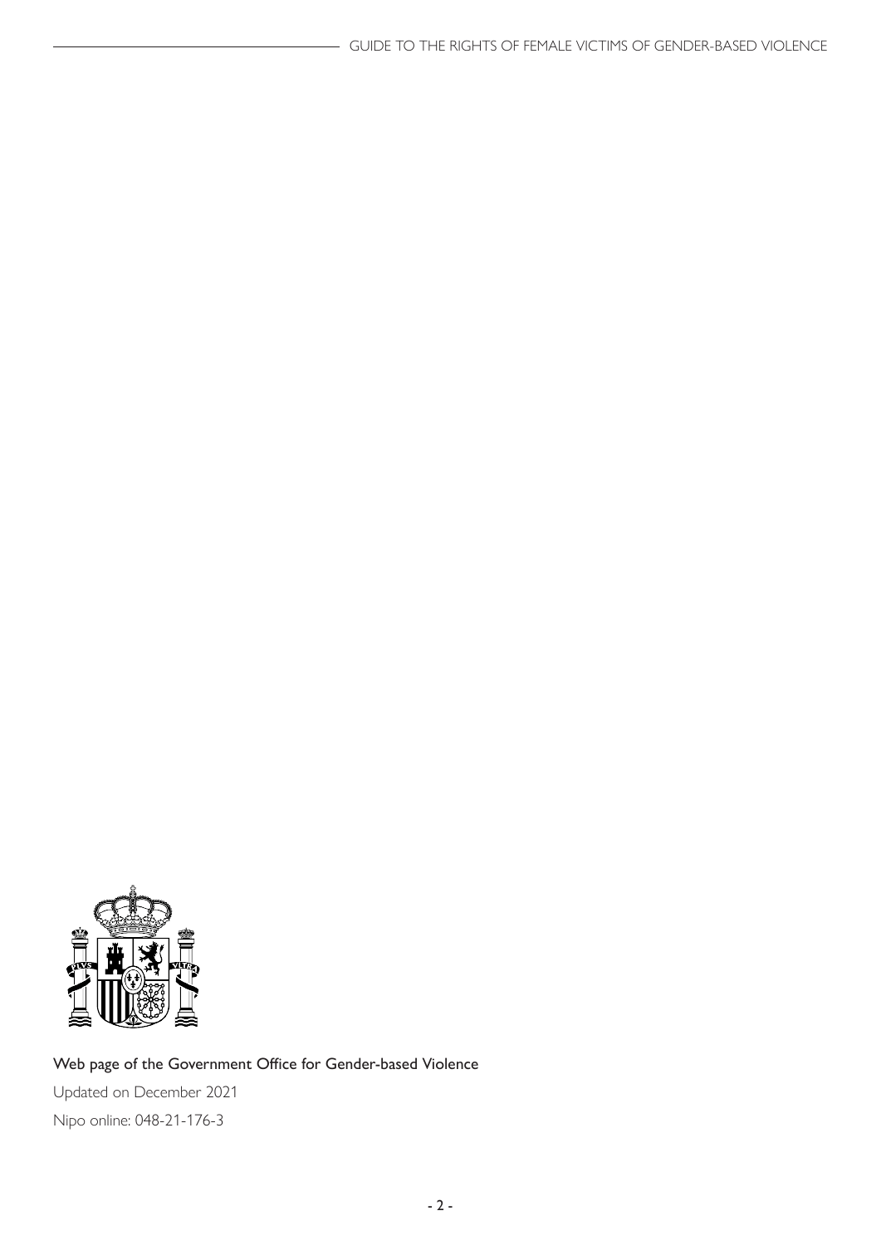

#### Web page of the Government Office for Gender-based Violence

Updated on December 2021 Nipo online: 048-21-176-3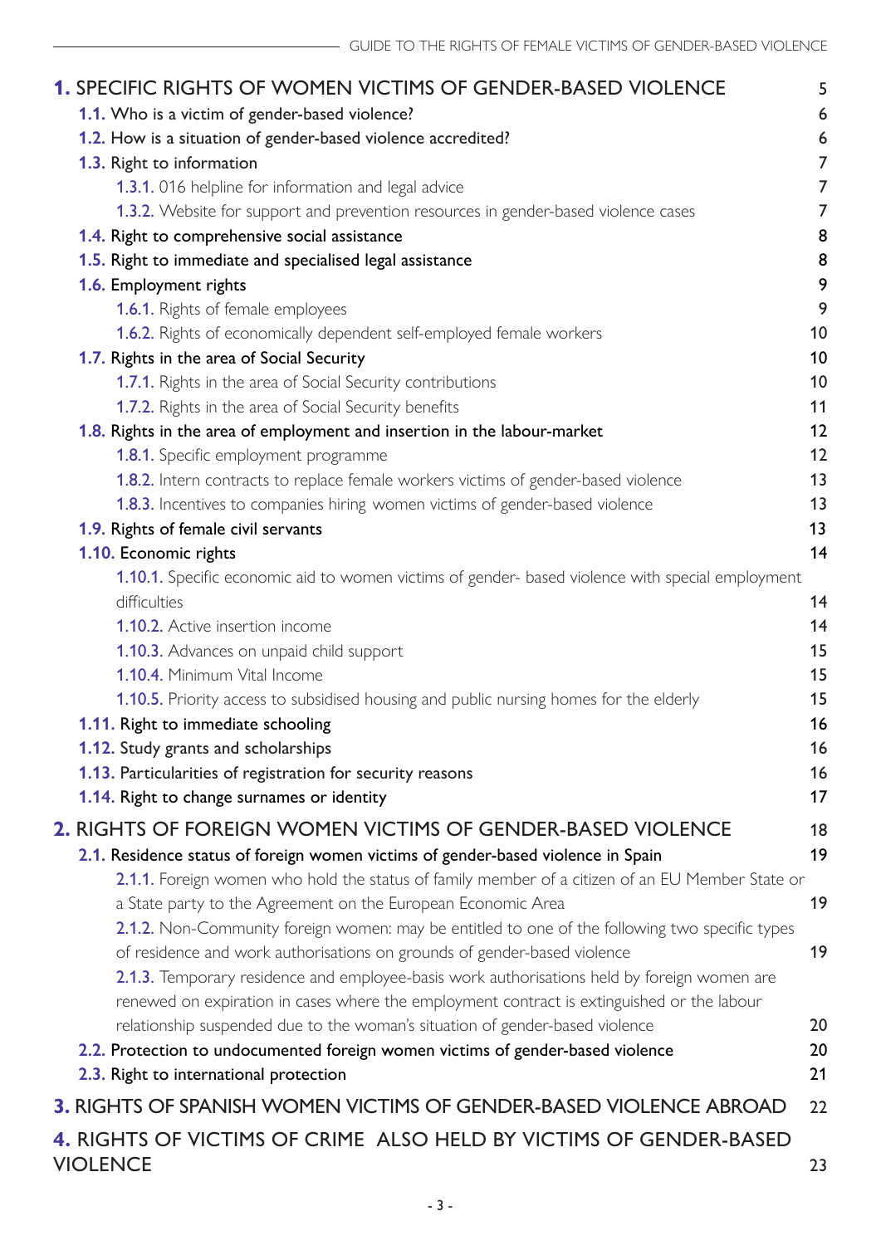| <b>1. SPECIFIC RIGHTS OF WOMEN VICTIMS OF GENDER-BASED VIOLENCE</b>                                              | 5        |
|------------------------------------------------------------------------------------------------------------------|----------|
| 1.1. Who is a victim of gender-based violence?                                                                   | 6        |
| 1.2. How is a situation of gender-based violence accredited?                                                     | 6        |
| 1.3. Right to information                                                                                        | 7        |
| 1.3.1. 016 helpline for information and legal advice                                                             | 7        |
| 1.3.2. Website for support and prevention resources in gender-based violence cases                               | 7        |
| 1.4. Right to comprehensive social assistance                                                                    | 8        |
| 1.5. Right to immediate and specialised legal assistance                                                         | 8        |
| 1.6. Employment rights                                                                                           | 9        |
| <b>1.6.1.</b> Rights of female employees                                                                         | 9        |
| 1.6.2. Rights of economically dependent self-employed female workers                                             | 10       |
| 1.7. Rights in the area of Social Security                                                                       | 10       |
| 1.7.1. Rights in the area of Social Security contributions                                                       | 10       |
| 1.7.2. Rights in the area of Social Security benefits                                                            | 11       |
| 1.8. Rights in the area of employment and insertion in the labour-market                                         | 12       |
| 1.8.1. Specific employment programme                                                                             | 12       |
| 1.8.2. Intern contracts to replace female workers victims of gender-based violence                               | 13       |
| 1.8.3. Incentives to companies hiring women victims of gender-based violence                                     | 13       |
| 1.9. Rights of female civil servants                                                                             | 13<br>14 |
| 1.10. Economic rights                                                                                            |          |
| 1.10.1. Specific economic aid to women victims of gender- based violence with special employment<br>difficulties | 14       |
| 1.10.2. Active insertion income                                                                                  | 14       |
| 1.10.3. Advances on unpaid child support                                                                         | 15       |
| 1.10.4. Minimum Vital Income                                                                                     | 15       |
| <b>1.10.5.</b> Priority access to subsidised housing and public nursing homes for the elderly                    | 15       |
| 1.11. Right to immediate schooling                                                                               | 16       |
| <b>1.12.</b> Study grants and scholarships                                                                       | 16       |
| 1.13. Particularities of registration for security reasons                                                       | 16       |
| 1.14. Right to change surnames or identity                                                                       | 17       |
| 2. RIGHTS OF FOREIGN WOMEN VICTIMS OF GENDER-BASED VIOLENCE                                                      | 18       |
| 2.1. Residence status of foreign women victims of gender-based violence in Spain                                 | 19       |
| 2.1.1. Foreign women who hold the status of family member of a citizen of an EU Member State or                  |          |
| a State party to the Agreement on the European Economic Area                                                     | 19       |
| 2.1.2. Non-Community foreign women: may be entitled to one of the following two specific types                   |          |
| of residence and work authorisations on grounds of gender-based violence                                         | 19       |
| 2.1.3. Temporary residence and employee-basis work authorisations held by foreign women are                      |          |
| renewed on expiration in cases where the employment contract is extinguished or the labour                       |          |
| relationship suspended due to the woman's situation of gender-based violence                                     | 20       |
| 2.2. Protection to undocumented foreign women victims of gender-based violence                                   | 20       |
| 2.3. Right to international protection                                                                           | 21       |
| <b>3. RIGHTS OF SPANISH WOMEN VICTIMS OF GENDER-BASED VIOLENCE ABROAD</b>                                        | 22       |
| 4. RIGHTS OF VICTIMS OF CRIME ALSO HELD BY VICTIMS OF GENDER-BASED                                               |          |
| <b>VIOLENCE</b>                                                                                                  | 23       |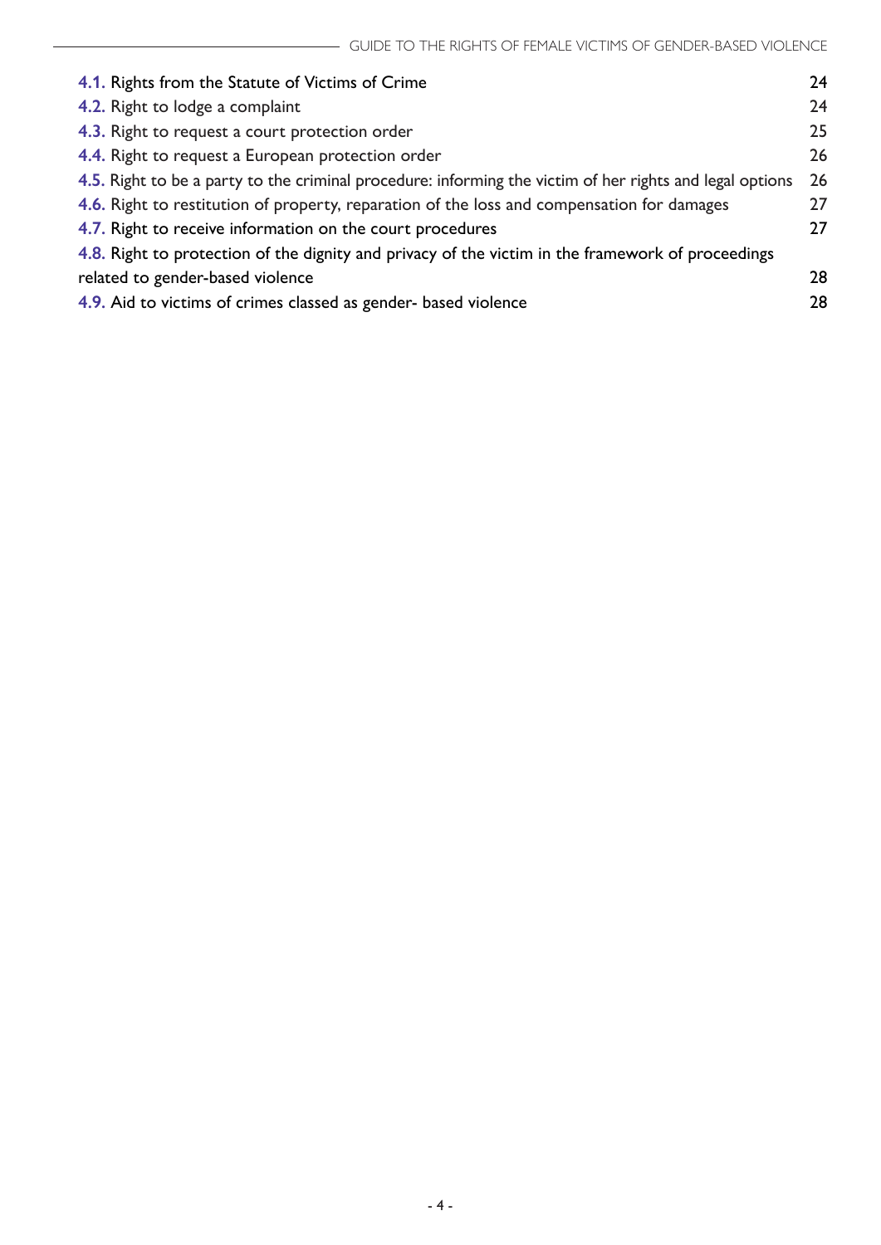| 4.1. Rights from the Statute of Victims of Crime                                                         | 24 |  |
|----------------------------------------------------------------------------------------------------------|----|--|
| 4.2. Right to lodge a complaint                                                                          | 24 |  |
| 4.3. Right to request a court protection order                                                           | 25 |  |
| 4.4. Right to request a European protection order                                                        |    |  |
| 4.5. Right to be a party to the criminal procedure: informing the victim of her rights and legal options |    |  |
| 4.6. Right to restitution of property, reparation of the loss and compensation for damages               | 27 |  |
| 4.7. Right to receive information on the court procedures                                                |    |  |
| 4.8. Right to protection of the dignity and privacy of the victim in the framework of proceedings        |    |  |
| related to gender-based violence                                                                         | 28 |  |
| 4.9. Aid to victims of crimes classed as gender- based violence                                          | 28 |  |
|                                                                                                          |    |  |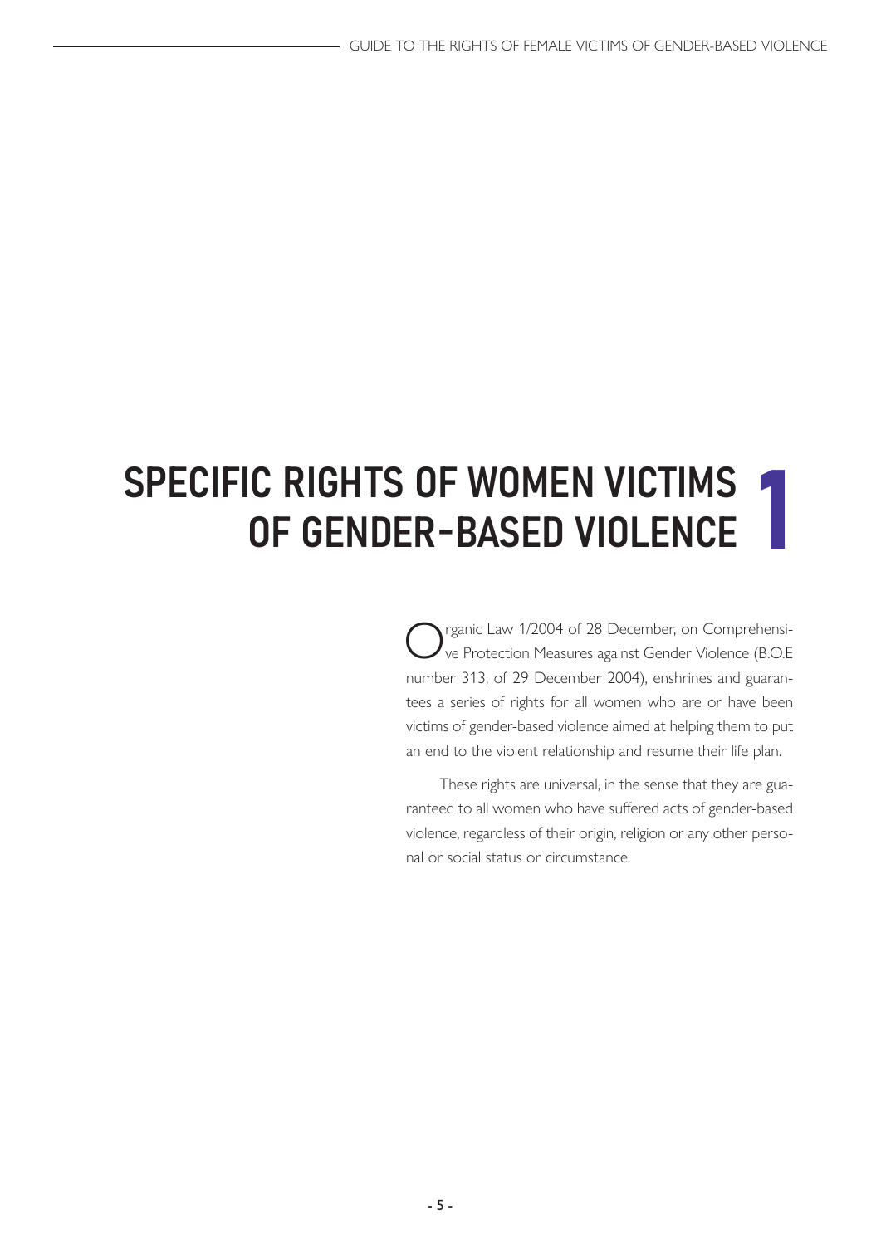## <span id="page-4-0"></span>**SPECIFIC RIGHTS OF WOMEN VICTIMS** OF GENDER-BASED VIOLENCE

rganic Law 1/2004 of 28 December, on Comprehensive Protection Measures against Gender Violence (B.O.E number 313, of 29 December 2004), enshrines and guarantees a series of rights for all women who are or have been victims of gender-based violence aimed at helping them to put an end to the violent relationship and resume their life plan.

These rights are universal, in the sense that they are guaranteed to all women who have suffered acts of gender-based violence, regardless of their origin, religion or any other personal or social status or circumstance.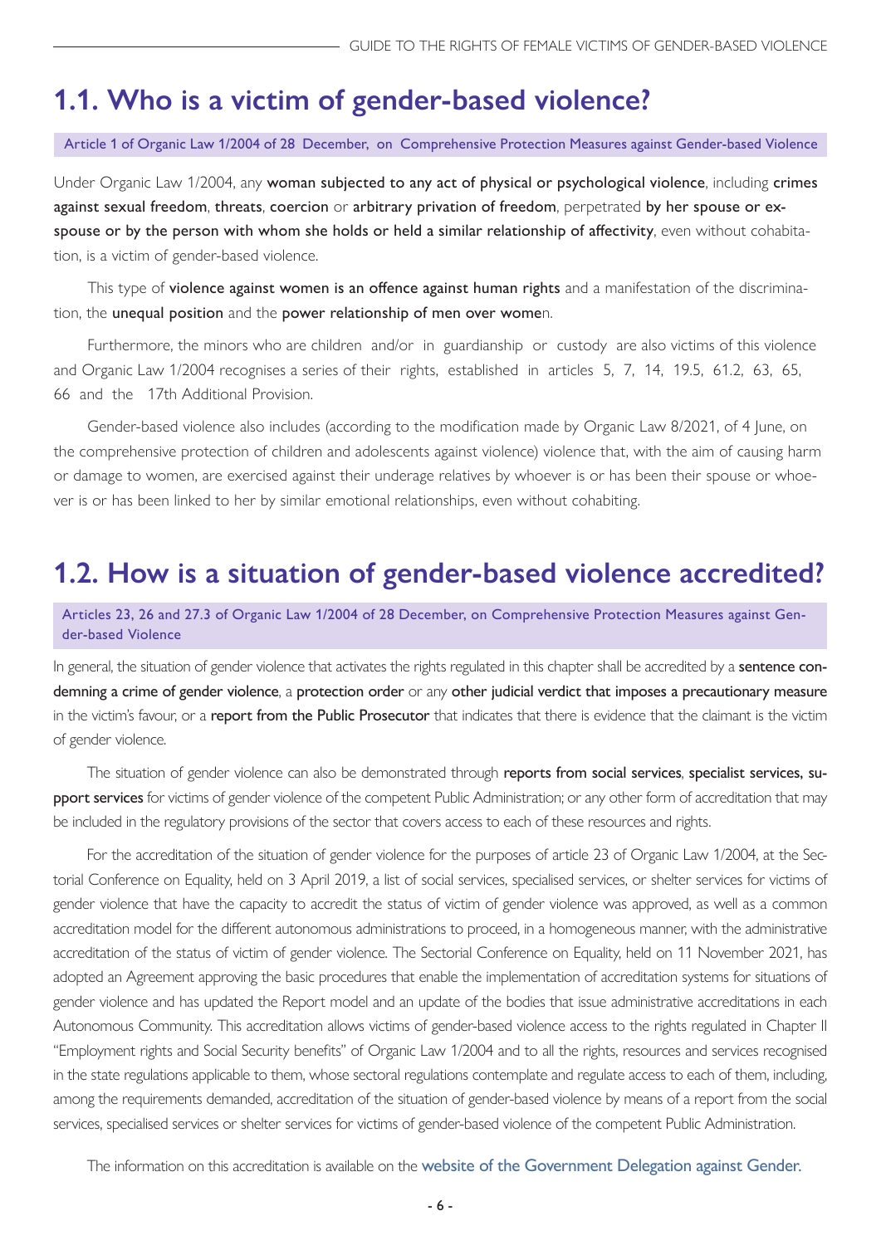## <span id="page-5-0"></span>**1.1. Who is a victim of gender-based violence?**

#### Article 1 of Organic Law 1/2004 of 28 December, on Comprehensive Protection Measures against Gender-based Violence

Under Organic Law 1/2004, any woman subjected to any act of physical or psychological violence, including crimes against sexual freedom, threats, coercion or arbitrary privation of freedom, perpetrated by her spouse or exspouse or by the person with whom she holds or held a similar relationship of affectivity, even without cohabitation, is a victim of gender-based violence.

This type of violence against women is an offence against human rights and a manifestation of the discrimination, the unequal position and the power relationship of men over women.

Furthermore, the minors who are children and/or in guardianship or custody are also victims of this violence and Organic Law 1/2004 recognises a series of their rights, established in articles 5, 7, 14, 19.5, 61.2, 63, 65, 66 and the 17th Additional Provision.

Gender-based violence also includes (according to the modification made by Organic Law 8/2021, of 4 June, on the comprehensive protection of children and adolescents against violence) violence that, with the aim of causing harm or damage to women, are exercised against their underage relatives by whoever is or has been their spouse or whoever is or has been linked to her by similar emotional relationships, even without cohabiting.

## **1.2. How is a situation of gender-based violence accredited?**

Articles 23, 26 and 27.3 of Organic Law 1/2004 of 28 December, on Comprehensive Protection Measures against Gender-based Violence

In general, the situation of gender violence that activates the rights regulated in this chapter shall be accredited by a **sentence con**demning a crime of gender violence, a protection order or any other judicial verdict that imposes a precautionary measure in the victim's favour, or a report from the Public Prosecutor that indicates that there is evidence that the claimant is the victim of gender violence.

The situation of gender violence can also be demonstrated through reports from social services, specialist services, support services for victims of gender violence of the competent Public Administration; or any other form of accreditation that may be included in the regulatory provisions of the sector that covers access to each of these resources and rights.

For the accreditation of the situation of gender violence for the purposes of article 23 of Organic Law 1/2004, at the Sectorial Conference on Equality, held on 3 April 2019, a list of social services, specialised services, or shelter services for victims of gender violence that have the capacity to accredit the status of victim of gender violence was approved, as well as a common accreditation model for the different autonomous administrations to proceed, in a homogeneous manner, with the administrative accreditation of the status of victim of gender violence. The Sectorial Conference on Equality, held on 11 November 2021, has adopted an Agreement approving the basic procedures that enable the implementation of accreditation systems for situations of gender violence and has updated the Report model and an update of the bodies that issue administrative accreditations in each Autonomous Community. This accreditation allows victims of gender-based violence access to the rights regulated in Chapter II "Employment rights and Social Security benefits" of Organic Law 1/2004 and to all the rights, resources and services recognised in the state regulations applicable to them, whose sectoral regulations contemplate and regulate access to each of them, including, among the requirements demanded, accreditation of the situation of gender-based violence by means of a report from the social services, specialised services or shelter services for victims of gender-based violence of the competent Public Administration.

The information on this accreditation is available on the [website of the Government Delegation against Gender.](https://violenciagenero.igualdad.gob.es/home.htm)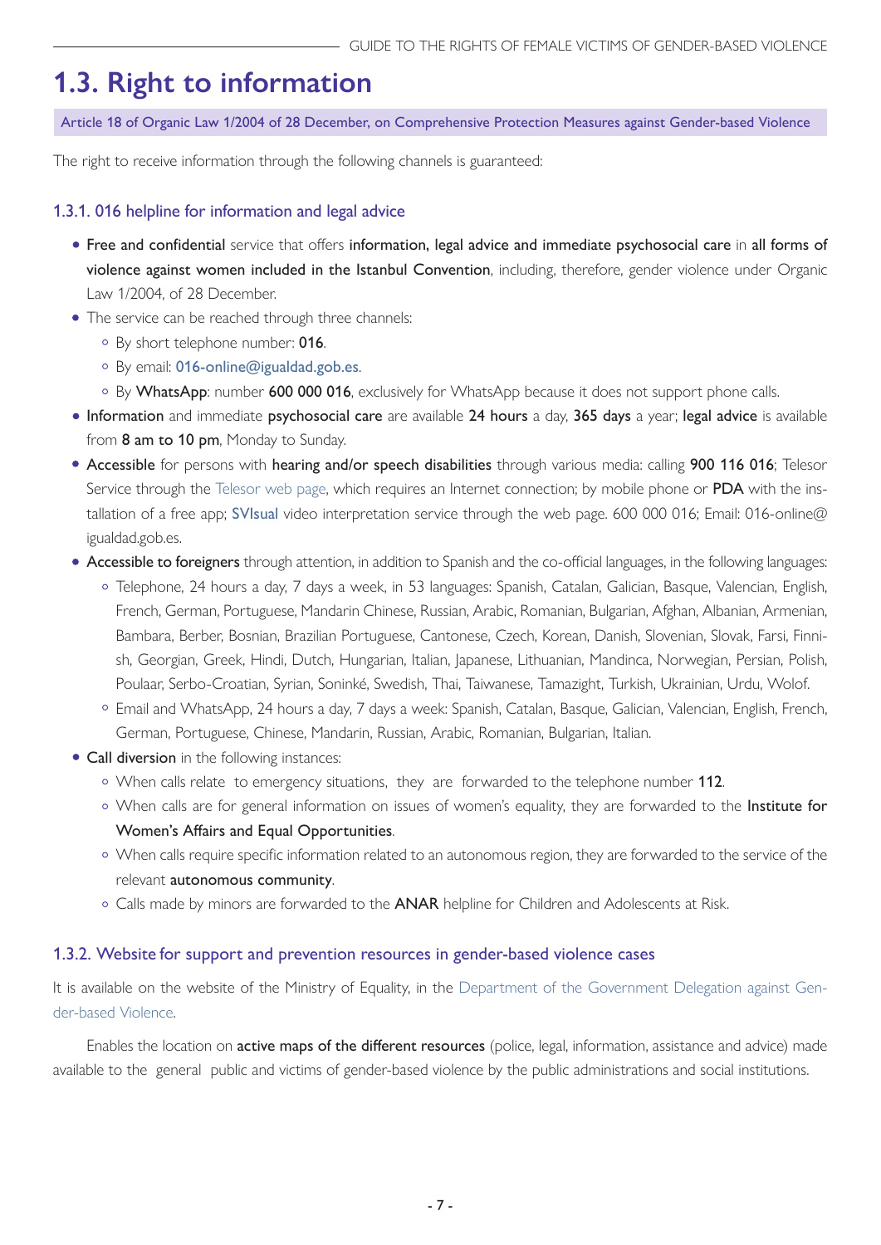## <span id="page-6-0"></span>**1.3. Right to information**

Article 18 of Organic Law 1/2004 of 28 December, on Comprehensive Protection Measures against Gender-based Violence

The right to receive information through the following channels is guaranteed:

#### 1.3.1. 016 helpline for information and legal advice

- Free and confidential service that offers information, legal advice and immediate psychosocial care in all forms of violence against women included in the Istanbul Convention, including, therefore, gender violence under Organic Law 1/2004, of 28 December.
- The service can be reached through three channels:
	- o By short telephone number: 016.
	- o By email: [016-online@igualdad.gob.es](mailto:016-online%40igualdad.gob.es?subject=).
	- By WhatsApp: number 600 000 016, exclusively for WhatsApp because it does not support phone calls.
- Information and immediate psychosocial care are available 24 hours a day, 365 days a year; legal advice is available from 8 am to 10 pm, Monday to Sunday.
- Accessible for persons with hearing and/or speech disabilities through various media: calling 900 116 016; Telesor Service through the [Telesor web page](https://www.telesor.es), which requires an Internet connection; by mobile phone or PDA with the installation of a free app; [SVIsual](http://www.svisual.org) video interpretation service through the web page. 600 000 016; Email: 016-online@ igualdad.gob.es.
- Accessible to foreigners through attention, in addition to Spanish and the co-official languages, in the following languages:
	- Telephone, 24 hours a day, 7 days a week, in 53 languages: Spanish, Catalan, Galician, Basque, Valencian, English, French, German, Portuguese, Mandarin Chinese, Russian, Arabic, Romanian, Bulgarian, Afghan, Albanian, Armenian, Bambara, Berber, Bosnian, Brazilian Portuguese, Cantonese, Czech, Korean, Danish, Slovenian, Slovak, Farsi, Finnish, Georgian, Greek, Hindi, Dutch, Hungarian, Italian, Japanese, Lithuanian, Mandinca, Norwegian, Persian, Polish, Poulaar, Serbo-Croatian, Syrian, Soninké, Swedish, Thai, Taiwanese, Tamazight, Turkish, Ukrainian, Urdu, Wolof.
	- Email and WhatsApp, 24 hours a day, 7 days a week: Spanish, Catalan, Basque, Galician, Valencian, English, French, German, Portuguese, Chinese, Mandarin, Russian, Arabic, Romanian, Bulgarian, Italian.
- Call diversion in the following instances:
	- o When calls relate to emergency situations, they are forwarded to the telephone number 112.
	- o When calls are for general information on issues of women's equality, they are forwarded to the Institute for Women's Affairs and Equal Opportunities.
	- When calls require specific information related to an autonomous region, they are forwarded to the service of the relevant autonomous community.
	- o Calls made by minors are forwarded to the ANAR helpline for Children and Adolescents at Risk.

#### 1.3.2. Website for support and prevention resources in gender-based violence cases

It is available on the website of the Ministry of Equality, in the [Department of the Government Delegation against Gen](https://violenciagenero.igualdad.gob.es/informacionUtil/recursos/home.htm)[der-based Violence](https://violenciagenero.igualdad.gob.es/informacionUtil/recursos/home.htm).

Enables the location on active maps of the different resources (police, legal, information, assistance and advice) made available to the general public and victims of gender-based violence by the public administrations and social institutions.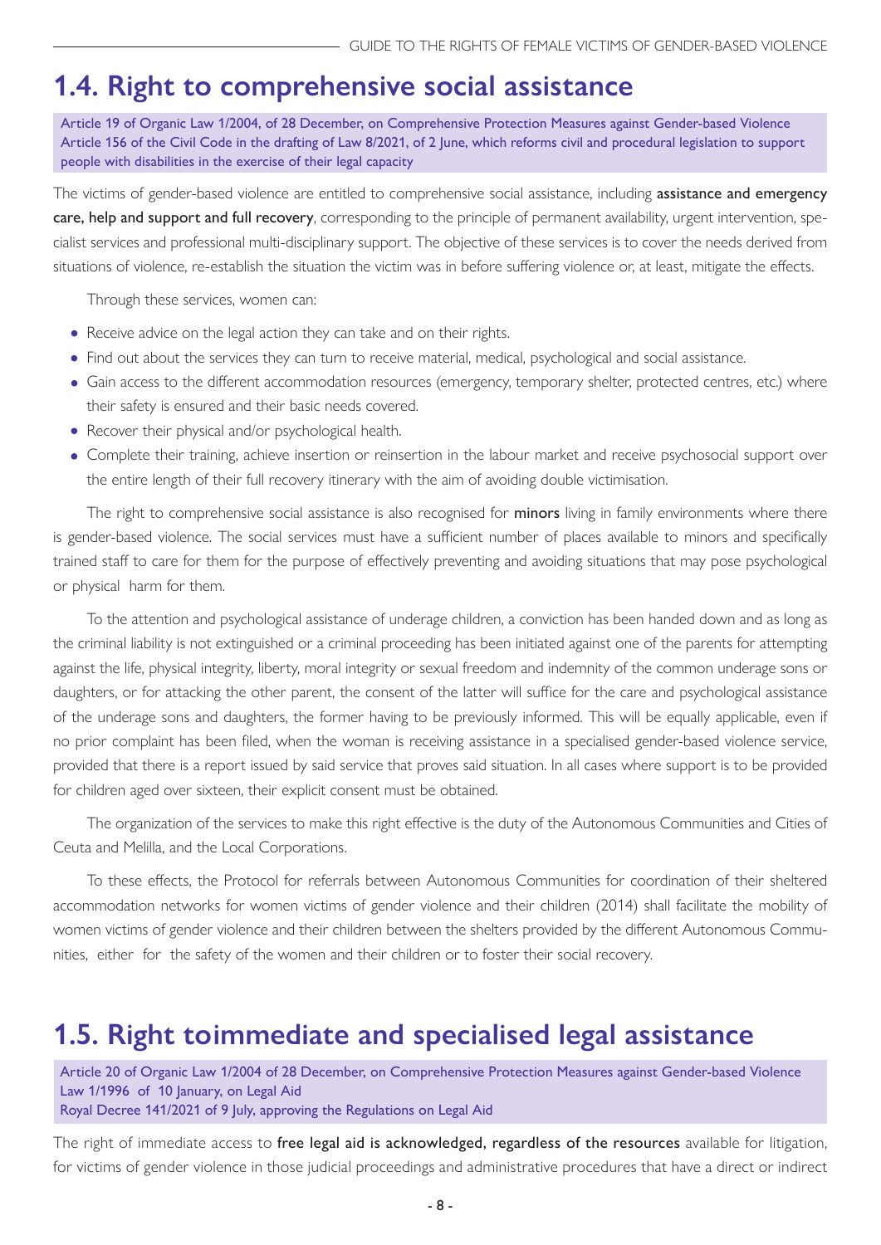## <span id="page-7-0"></span>**1.4. Right to comprehensive social assistance**

Article 19 of Organic Law 1/2004, of 28 December, on Comprehensive Protection Measures against Gender-based Violence Article 156 of the Civil Code in the drafting of Law 8/2021, of 2 June, which reforms civil and procedural legislation to support people with disabilities in the exercise of their legal capacity

The victims of gender-based violence are entitled to comprehensive social assistance, including **assistance and emergency** care, help and support and full recovery, corresponding to the principle of permanent availability, urgent intervention, specialist services and professional multi-disciplinary support. The objective of these services is to cover the needs derived from situations of violence, re-establish the situation the victim was in before suffering violence or, at least, mitigate the effects.

Through these services, women can:

- Receive advice on the legal action they can take and on their rights.
- Find out about the services they can turn to receive material, medical, psychological and social assistance.
- Gain access to the different accommodation resources (emergency, temporary shelter, protected centres, etc.) where their safety is ensured and their basic needs covered.
- Recover their physical and/or psychological health.
- Complete their training, achieve insertion or reinsertion in the labour market and receive psychosocial support over the entire length of their full recovery itinerary with the aim of avoiding double victimisation.

The right to comprehensive social assistance is also recognised for minors living in family environments where there is gender-based violence. The social services must have a sufficient number of places available to minors and specifically trained staff to care for them for the purpose of effectively preventing and avoiding situations that may pose psychological or physical harm for them.

To the attention and psychological assistance of underage children, a conviction has been handed down and as long as the criminal liability is not extinguished or a criminal proceeding has been initiated against one of the parents for attempting against the life, physical integrity, liberty, moral integrity or sexual freedom and indemnity of the common underage sons or daughters, or for attacking the other parent, the consent of the latter will suffice for the care and psychological assistance of the underage sons and daughters, the former having to be previously informed. This will be equally applicable, even if no prior complaint has been filed, when the woman is receiving assistance in a specialised gender-based violence service, provided that there is a report issued by said service that proves said situation. In all cases where support is to be provided for children aged over sixteen, their explicit consent must be obtained.

The organization of the services to make this right effective is the duty of the Autonomous Communities and Cities of Ceuta and Melilla, and the Local Corporations.

To these effects, the Protocol for referrals between Autonomous Communities for coordination of their sheltered accommodation networks for women victims of gender violence and their children (2014) shall facilitate the mobility of women victims of gender violence and their children between the shelters provided by the different Autonomous Communities, either for the safety of the women and their children or to foster their social recovery.

## **1.5. Right toimmediate and specialised legal assistance**

Article 20 of Organic Law 1/2004 of 28 December, on Comprehensive Protection Measures against Gender-based Violence Law 1/1996 of 10 January, on Legal Aid Royal Decree 141/2021 of 9 July, approving the Regulations on Legal Aid

The right of immediate access to free legal aid is acknowledged, regardless of the resources available for litigation, for victims of gender violence in those judicial proceedings and administrative procedures that have a direct or indirect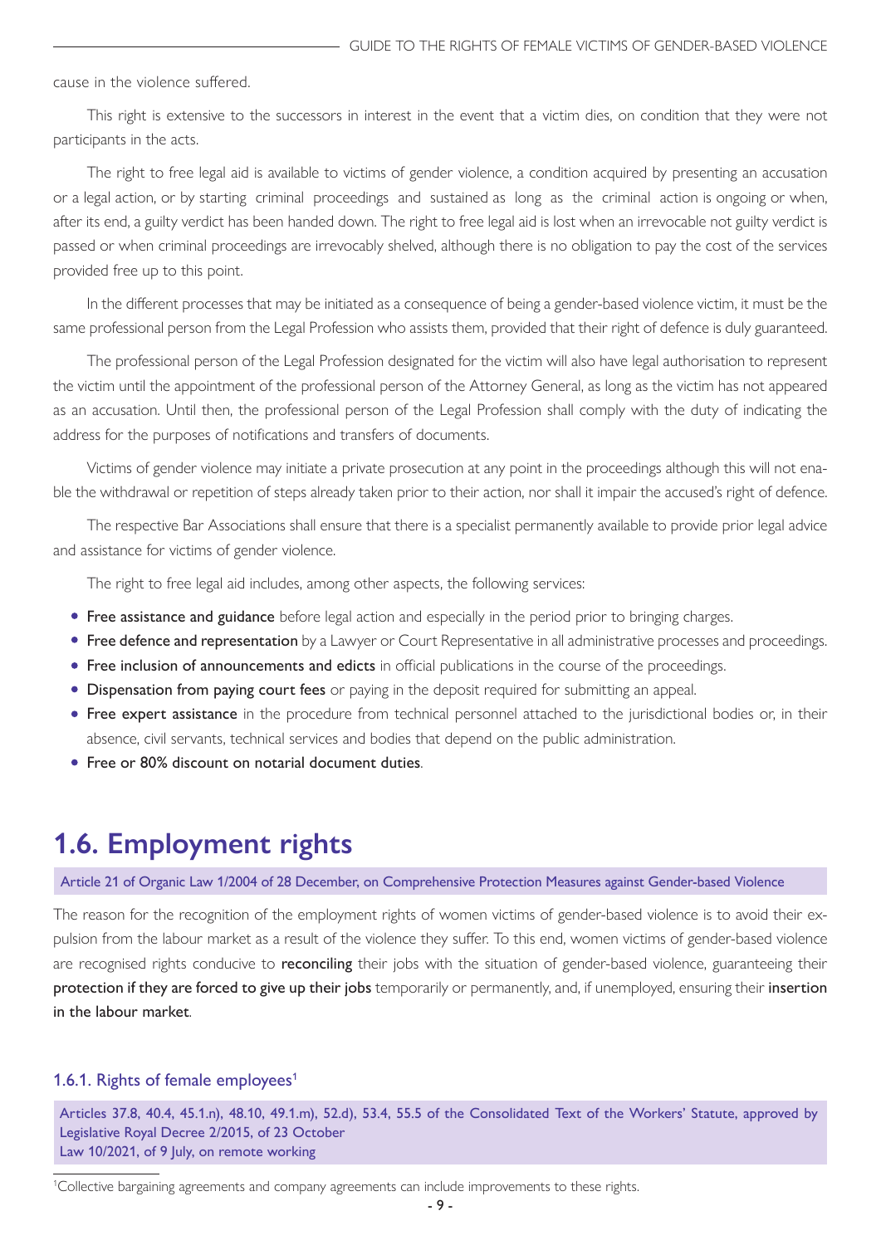<span id="page-8-0"></span>cause in the violence suffered.

This right is extensive to the successors in interest in the event that a victim dies, on condition that they were not participants in the acts.

The right to free legal aid is available to victims of gender violence, a condition acquired by presenting an accusation or a legal action, or by starting criminal proceedings and sustained as long as the criminal action is ongoing or when, after its end, a guilty verdict has been handed down. The right to free legal aid is lost when an irrevocable not guilty verdict is passed or when criminal proceedings are irrevocably shelved, although there is no obligation to pay the cost of the services provided free up to this point.

In the different processes that may be initiated as a consequence of being a gender-based violence victim, it must be the same professional person from the Legal Profession who assists them, provided that their right of defence is duly guaranteed.

The professional person of the Legal Profession designated for the victim will also have legal authorisation to represent the victim until the appointment of the professional person of the Attorney General, as long as the victim has not appeared as an accusation. Until then, the professional person of the Legal Profession shall comply with the duty of indicating the address for the purposes of notifications and transfers of documents.

Victims of gender violence may initiate a private prosecution at any point in the proceedings although this will not enable the withdrawal or repetition of steps already taken prior to their action, nor shall it impair the accused's right of defence.

The respective Bar Associations shall ensure that there is a specialist permanently available to provide prior legal advice and assistance for victims of gender violence.

The right to free legal aid includes, among other aspects, the following services:

- Free assistance and guidance before legal action and especially in the period prior to bringing charges.
- **Free defence and representation** by a Lawyer or Court Representative in all administrative processes and proceedings.
- Free inclusion of announcements and edicts in official publications in the course of the proceedings.
- Dispensation from paying court fees or paying in the deposit required for submitting an appeal.
- **Free expert assistance** in the procedure from technical personnel attached to the jurisdictional bodies or, in their absence, civil servants, technical services and bodies that depend on the public administration.
- Free or 80% discount on notarial document duties.

#### **1.6. Employment rights**

Article 21 of Organic Law 1/2004 of 28 December, on Comprehensive Protection Measures against Gender-based Violence

The reason for the recognition of the employment rights of women victims of gender-based violence is to avoid their expulsion from the labour market as a result of the violence they suffer. To this end, women victims of gender-based violence are recognised rights conducive to reconciling their jobs with the situation of gender-based violence, guaranteeing their protection if they are forced to give up their jobs temporarily or permanently, and, if unemployed, ensuring their insertion in the labour market.

#### 1.6.1. Rights of female employees<sup>1</sup>

Articles 37.8, 40.4, 45.1.n), 48.10, 49.1.m), 52.d), 53.4, 55.5 of the Consolidated Text of the Workers' Statute, approved by Legislative Royal Decree 2/2015, of 23 October Law 10/2021, of 9 July, on remote working

<sup>1</sup> Collective bargaining agreements and company agreements can include improvements to these rights.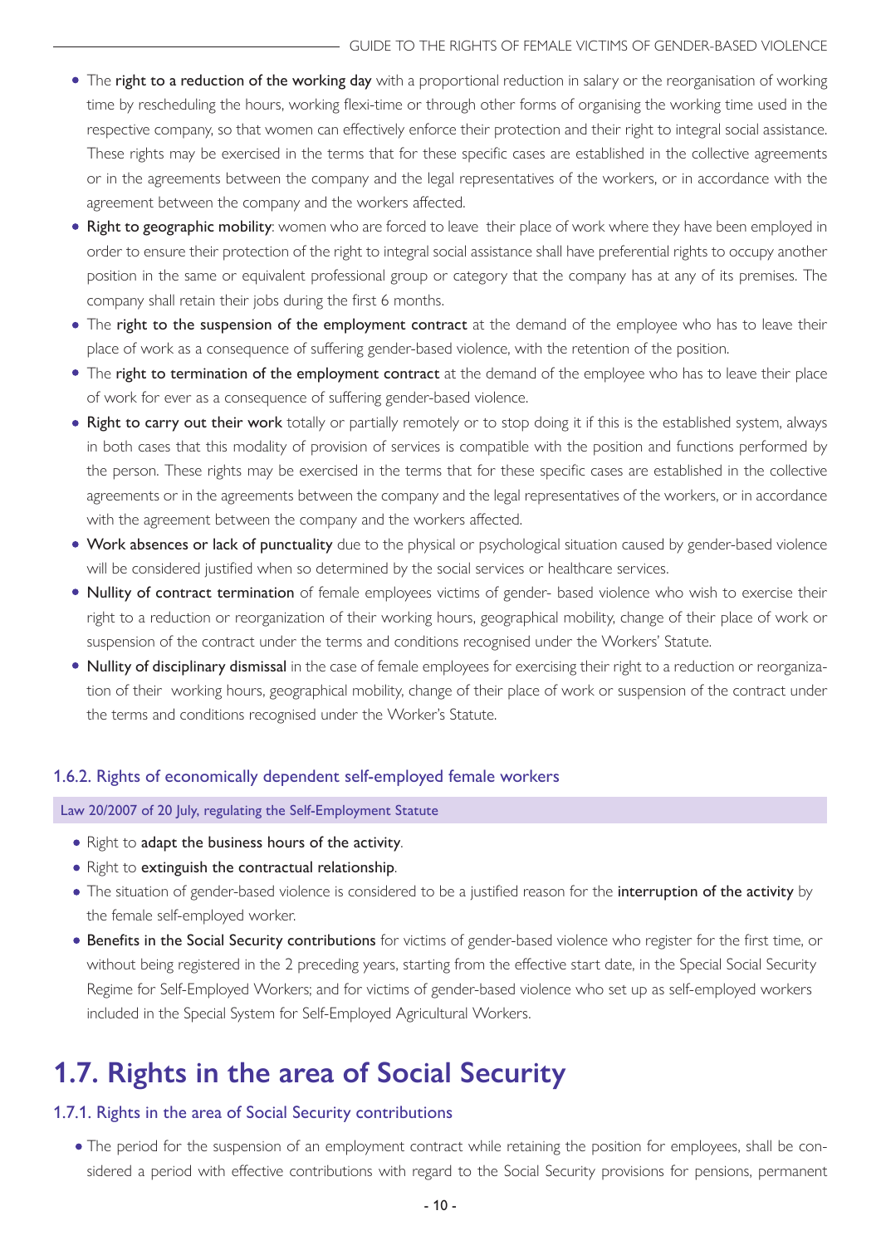- <span id="page-9-0"></span>• The right to a reduction of the working day with a proportional reduction in salary or the reorganisation of working time by rescheduling the hours, working flexi-time or through other forms of organising the working time used in the respective company, so that women can effectively enforce their protection and their right to integral social assistance. These rights may be exercised in the terms that for these specific cases are established in the collective agreements or in the agreements between the company and the legal representatives of the workers, or in accordance with the agreement between the company and the workers affected.
- Right to geographic mobility: women who are forced to leave their place of work where they have been employed in order to ensure their protection of the right to integral social assistance shall have preferential rights to occupy another position in the same or equivalent professional group or category that the company has at any of its premises. The company shall retain their jobs during the first 6 months.
- The right to the suspension of the employment contract at the demand of the employee who has to leave their place of work as a consequence of suffering gender-based violence, with the retention of the position.
- The right to termination of the employment contract at the demand of the employee who has to leave their place of work for ever as a consequence of suffering gender-based violence.
- . Right to carry out their work totally or partially remotely or to stop doing it if this is the established system, always in both cases that this modality of provision of services is compatible with the position and functions performed by the person. These rights may be exercised in the terms that for these specific cases are established in the collective agreements or in the agreements between the company and the legal representatives of the workers, or in accordance with the agreement between the company and the workers affected.
- Work absences or lack of punctuality due to the physical or psychological situation caused by gender-based violence will be considered justified when so determined by the social services or healthcare services.
- Nullity of contract termination of female employees victims of gender- based violence who wish to exercise their right to a reduction or reorganization of their working hours, geographical mobility, change of their place of work or suspension of the contract under the terms and conditions recognised under the Workers' Statute.
- Nullity of disciplinary dismissal in the case of female employees for exercising their right to a reduction or reorganization of their working hours, geographical mobility, change of their place of work or suspension of the contract under the terms and conditions recognised under the Worker's Statute.

#### 1.6.2. Rights of economically dependent self-employed female workers

Law 20/2007 of 20 July, regulating the Self-Employment Statute

- Right to adapt the business hours of the activity.
- Right to extinguish the contractual relationship.
- The situation of gender-based violence is considered to be a justified reason for the interruption of the activity by the female self-employed worker.
- **Benefits in the Social Security contributions** for victims of gender-based violence who register for the first time, or without being registered in the 2 preceding years, starting from the effective start date, in the Special Social Security Regime for Self-Employed Workers; and for victims of gender-based violence who set up as self-employed workers included in the Special System for Self-Employed Agricultural Workers.

## **1.7. Rights in the area of Social Security**

#### 1.7.1. Rights in the area of Social Security contributions

The period for the suspension of an employment contract while retaining the position for employees, shall be considered a period with effective contributions with regard to the Social Security provisions for pensions, permanent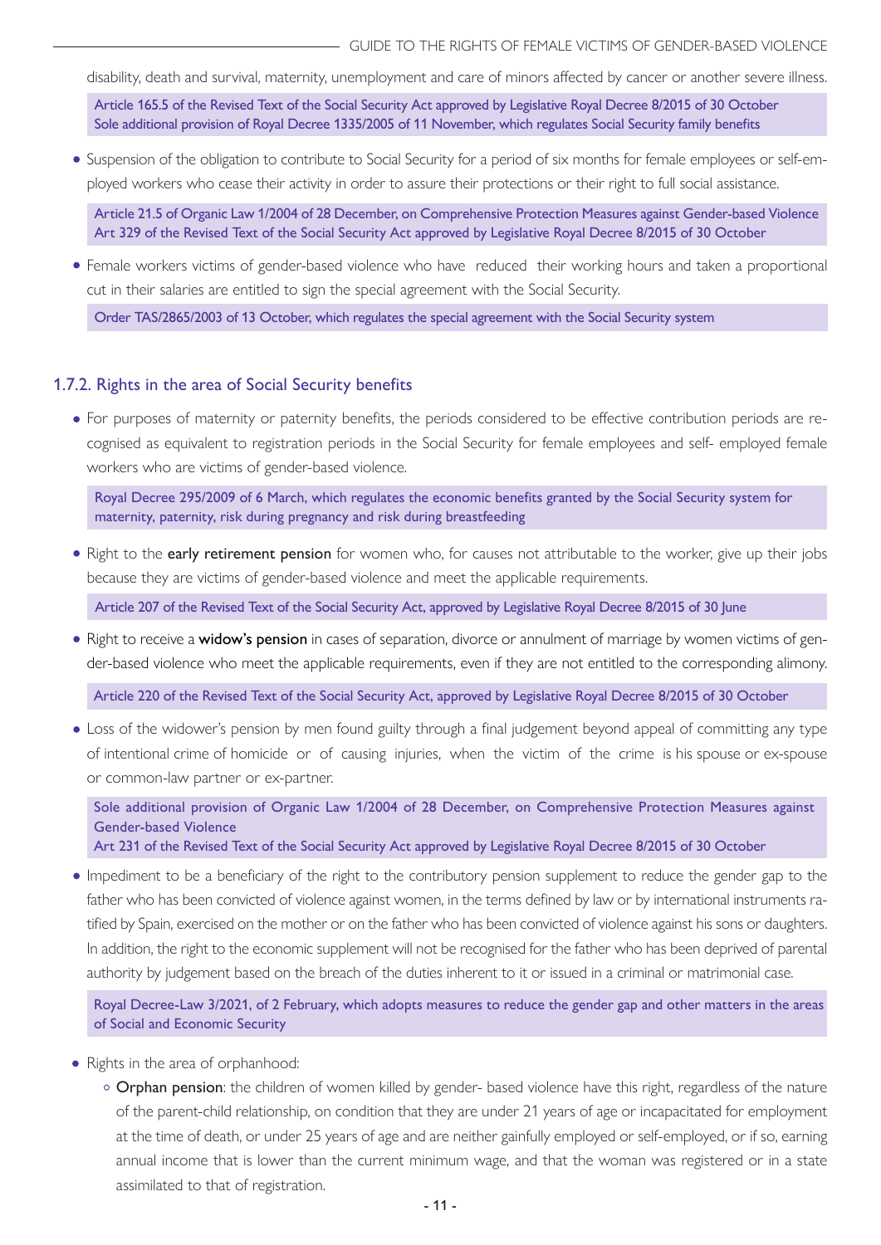<span id="page-10-0"></span>disability, death and survival, maternity, unemployment and care of minors affected by cancer or another severe illness.

Article 165.5 of the Revised Text of the Social Security Act approved by Legislative Royal Decree 8/2015 of 30 October Sole additional provision of Royal Decree 1335/2005 of 11 November, which regulates Social Security family benefits

Suspension of the obligation to contribute to Social Security for a period of six months for female employees or self-employed workers who cease their activity in order to assure their protections or their right to full social assistance.

• Article 21.5 of Organic Law 1/2004 of 28 December, on Comprehensive Protection Measures against Gender-based Violence Art 329 of the Revised Text of the Social Security Act approved by Legislative Royal Decree 8/2015 of 30 October

Female workers victims of gender-based violence who have reduced their working hours and taken a proportional cut in their salaries are entitled to sign the special agreement with the Social Security.

Order TAS/2865/2003 of 13 October, which regulates the special agreement with the Social Security system

#### 1.7.2. Rights in the area of Social Security benefits

For purposes of maternity or paternity benefits, the periods considered to be effective contribution periods are recognised as equivalent to registration periods in the Social Security for female employees and self- employed female workers who are victims of gender-based violence.

Royal Decree 295/2009 of 6 March, which regulates the economic benefits granted by the Social Security system for maternity, paternity, risk during pregnancy and risk during breastfeeding

• Right to the early retirement pension for women who, for causes not attributable to the worker, give up their jobs because they are victims of gender-based violence and meet the applicable requirements.

Article 207 of the Revised Text of the Social Security Act, approved by Legislative Royal Decree 8/2015 of 30 June

• Right to receive a widow's pension in cases of separation, divorce or annulment of marriage by women victims of gender-based violence who meet the applicable requirements, even if they are not entitled to the corresponding alimony.

Article 220 of the Revised Text of the Social Security Act, approved by Legislative Royal Decree 8/2015 of 30 October

Loss of the widower's pension by men found guilty through a final judgement beyond appeal of committing any type of intentional crime of homicide or of causing injuries, when the victim of the crime is his spouse or ex-spouse or common-law partner or ex-partner.

Sole additional provision of Organic Law 1/2004 of 28 December, on Comprehensive Protection Measures against Gender-based Violence

Art 231 of the Revised Text of the Social Security Act approved by Legislative Royal Decree 8/2015 of 30 October

Impediment to be a beneficiary of the right to the contributory pension supplement to reduce the gender gap to the father who has been convicted of violence against women, in the terms defined by law or by international instruments ratified by Spain, exercised on the mother or on the father who has been convicted of violence against his sons or daughters. In addition, the right to the economic supplement will not be recognised for the father who has been deprived of parental authority by judgement based on the breach of the duties inherent to it or issued in a criminal or matrimonial case.

Royal Decree-Law 3/2021, of 2 February, which adopts measures to reduce the gender gap and other matters in the areas of Social and Economic Security

- Rights in the area of orphanhood:
	- o Orphan pension: the children of women killed by gender- based violence have this right, regardless of the nature of the parent-child relationship, on condition that they are under 21 years of age or incapacitated for employment at the time of death, or under 25 years of age and are neither gainfully employed or self-employed, or if so, earning annual income that is lower than the current minimum wage, and that the woman was registered or in a state assimilated to that of registration.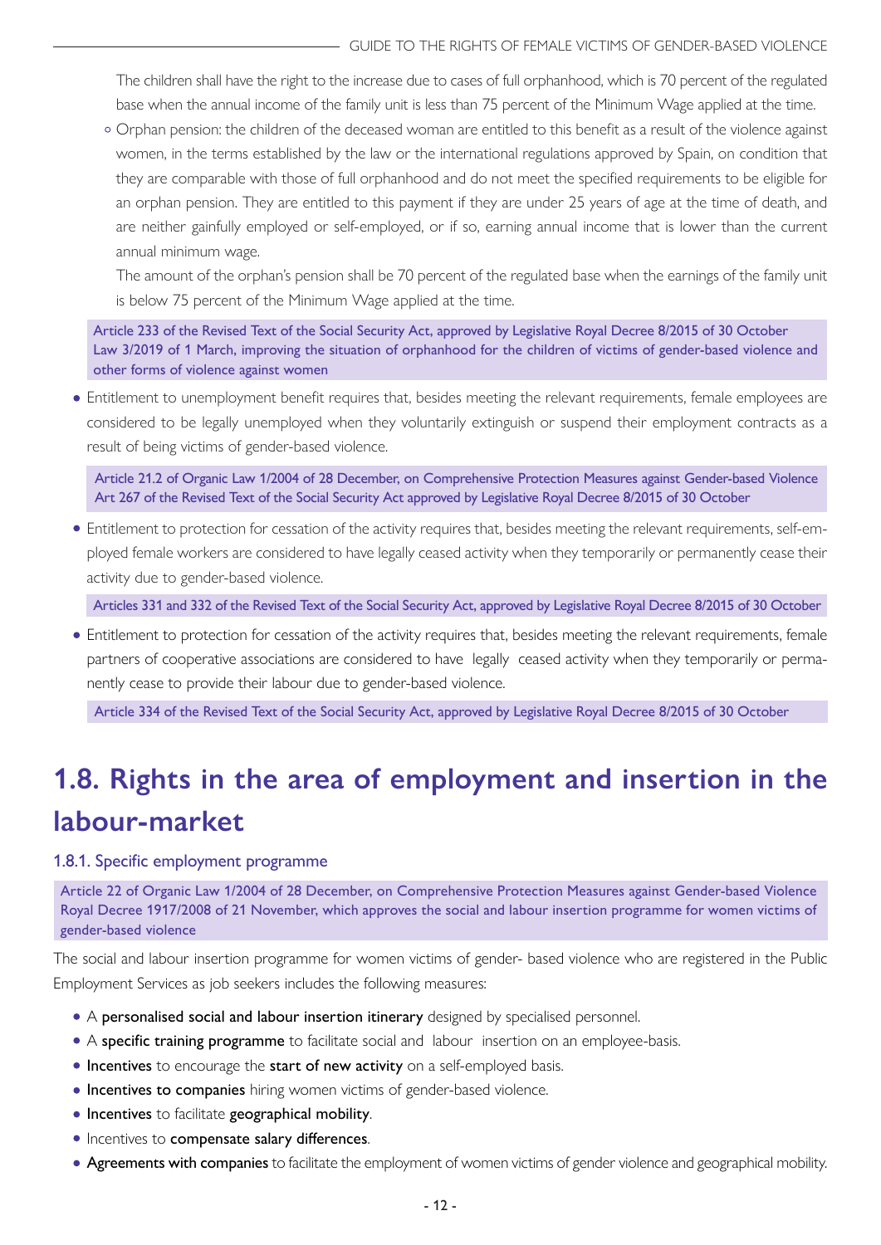<span id="page-11-0"></span>The children shall have the right to the increase due to cases of full orphanhood, which is 70 percent of the regulated base when the annual income of the family unit is less than 75 percent of the Minimum Wage applied at the time.

Orphan pension: the children of the deceased woman are entitled to this benefit as a result of the violence against women, in the terms established by the law or the international regulations approved by Spain, on condition that they are comparable with those of full orphanhood and do not meet the specified requirements to be eligible for an orphan pension. They are entitled to this payment if they are under 25 years of age at the time of death, and are neither gainfully employed or self-employed, or if so, earning annual income that is lower than the current annual minimum wage.

The amount of the orphan's pension shall be 70 percent of the regulated base when the earnings of the family unit is below 75 percent of the Minimum Wage applied at the time.

Article 233 of the Revised Text of the Social Security Act, approved by Legislative Royal Decree 8/2015 of 30 October Law 3/2019 of 1 March, improving the situation of orphanhood for the children of victims of gender-based violence and other forms of violence against women

Entitlement to unemployment benefit requires that, besides meeting the relevant requirements, female employees are considered to be legally unemployed when they voluntarily extinguish or suspend their employment contracts as a result of being victims of gender-based violence.

Article 21.2 of Organic Law 1/2004 of 28 December, on Comprehensive Protection Measures against Gender-based Violence Art 267 of the Revised Text of the Social Security Act approved by Legislative Royal Decree 8/2015 of 30 October

Entitlement to protection for cessation of the activity requires that, besides meeting the relevant requirements, self-employed female workers are considered to have legally ceased activity when they temporarily or permanently cease their activity due to gender-based violence.

Articles 331 and 332 of the Revised Text of the Social Security Act, approved by Legislative Royal Decree 8/2015 of 30 October

Entitlement to protection for cessation of the activity requires that, besides meeting the relevant requirements, female partners of cooperative associations are considered to have legally ceased activity when they temporarily or permanently cease to provide their labour due to gender-based violence.

Article 334 of the Revised Text of the Social Security Act, approved by Legislative Royal Decree 8/2015 of 30 October

## **1.8. Rights in the area of employment and insertion in the labour-market**

#### 1.8.1. Specific employment programme

Article 22 of Organic Law 1/2004 of 28 December, on Comprehensive Protection Measures against Gender-based Violence Royal Decree 1917/2008 of 21 November, which approves the social and labour insertion programme for women victims of gender-based violence

The social and labour insertion programme for women victims of gender- based violence who are registered in the Public Employment Services as job seekers includes the following measures:

- A personalised social and labour insertion itinerary designed by specialised personnel.
- A specific training programme to facilitate social and labour insertion on an employee-basis.
- **Incentives** to encourage the start of new activity on a self-employed basis.
- **Incentives to companies** hiring women victims of gender-based violence.
- **Incentives** to facilitate geographical mobility.
- $\bullet$  Incentives to compensate salary differences.
- Agreements with companies to facilitate the employment of women victims of gender violence and geographical mobility.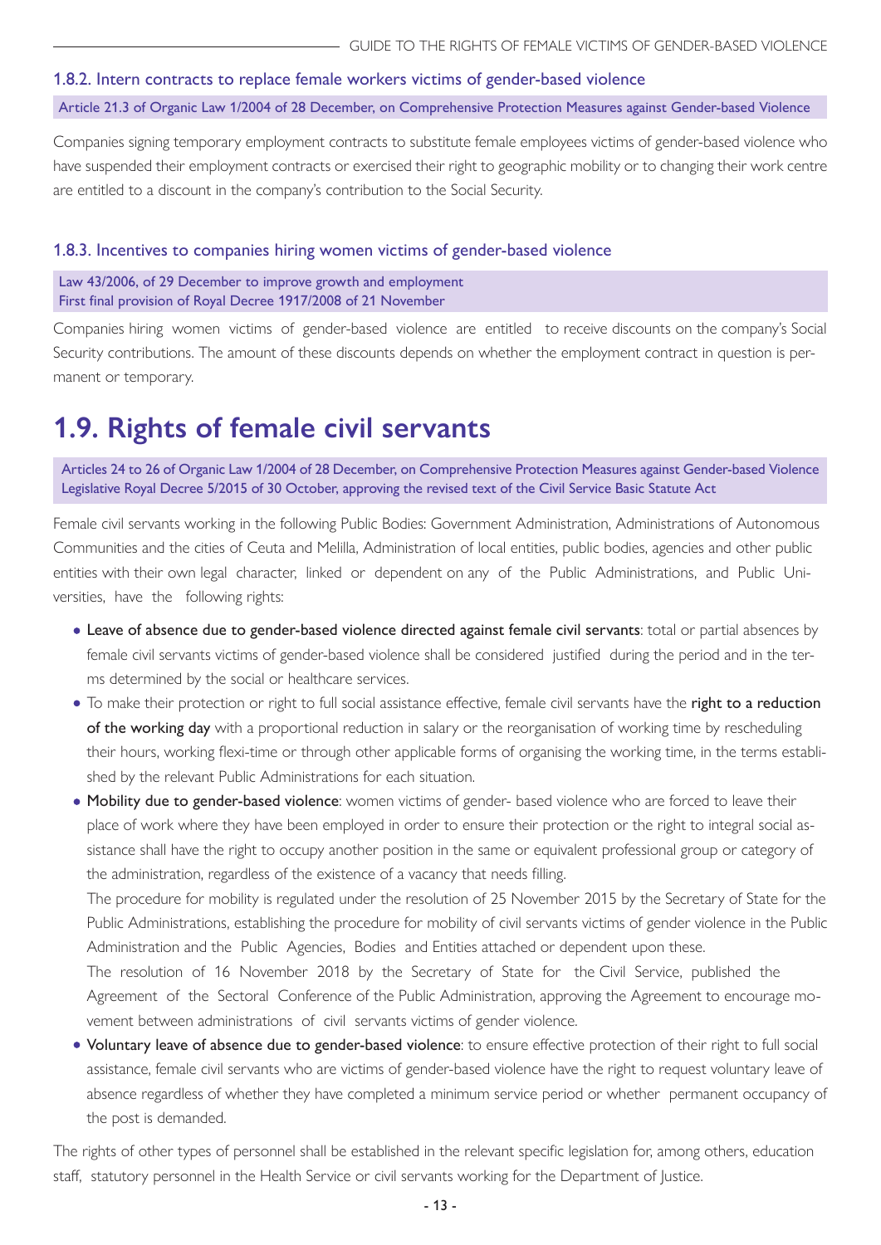#### <span id="page-12-0"></span>1.8.2. Intern contracts to replace female workers victims of gender-based violence Article 21.3 of Organic Law 1/2004 of 28 December, on Comprehensive Protection Measures against Gender-based Violence

Companies signing temporary employment contracts to substitute female employees victims of gender-based violence who have suspended their employment contracts or exercised their right to geographic mobility or to changing their work centre are entitled to a discount in the company's contribution to the Social Security.

#### 1.8.3. Incentives to companies hiring women victims of gender-based violence

Law 43/2006, of 29 December to improve growth and employment First final provision of Royal Decree 1917/2008 of 21 November

Companies hiring women victims of gender-based violence are entitled to receive discounts on the company's Social Security contributions. The amount of these discounts depends on whether the employment contract in question is permanent or temporary.

## **1.9. Rights of female civil servants**

Articles 24 to 26 of Organic Law 1/2004 of 28 December, on Comprehensive Protection Measures against Gender-based Violence Legislative Royal Decree 5/2015 of 30 October, approving the revised text of the Civil Service Basic Statute Act

Female civil servants working in the following Public Bodies: Government Administration, Administrations of Autonomous Communities and the cities of Ceuta and Melilla, Administration of local entities, public bodies, agencies and other public entities with their own legal character, linked or dependent on any of the Public Administrations, and Public Universities, have the following rights:

- Leave of absence due to gender-based violence directed against female civil servants: total or partial absences by female civil servants victims of gender-based violence shall be considered justified during the period and in the terms determined by the social or healthcare services.
- To make their protection or right to full social assistance effective, female civil servants have the right to a reduction of the working day with a proportional reduction in salary or the reorganisation of working time by rescheduling their hours, working flexi-time or through other applicable forms of organising the working time, in the terms established by the relevant Public Administrations for each situation.
- Mobility due to gender-based violence: women victims of gender- based violence who are forced to leave their place of work where they have been employed in order to ensure their protection or the right to integral social assistance shall have the right to occupy another position in the same or equivalent professional group or category of the administration, regardless of the existence of a vacancy that needs filling.

The procedure for mobility is regulated under the resolution of 25 November 2015 by the Secretary of State for the Public Administrations, establishing the procedure for mobility of civil servants victims of gender violence in the Public Administration and the Public Agencies, Bodies and Entities attached or dependent upon these.

The resolution of 16 November 2018 by the Secretary of State for the Civil Service, published the Agreement of the Sectoral Conference of the Public Administration, approving the Agreement to encourage movement between administrations of civil servants victims of gender violence.

• Voluntary leave of absence due to gender-based violence: to ensure effective protection of their right to full social assistance, female civil servants who are victims of gender-based violence have the right to request voluntary leave of absence regardless of whether they have completed a minimum service period or whether permanent occupancy of the post is demanded.

The rights of other types of personnel shall be established in the relevant specific legislation for, among others, education staff, statutory personnel in the Health Service or civil servants working for the Department of Justice.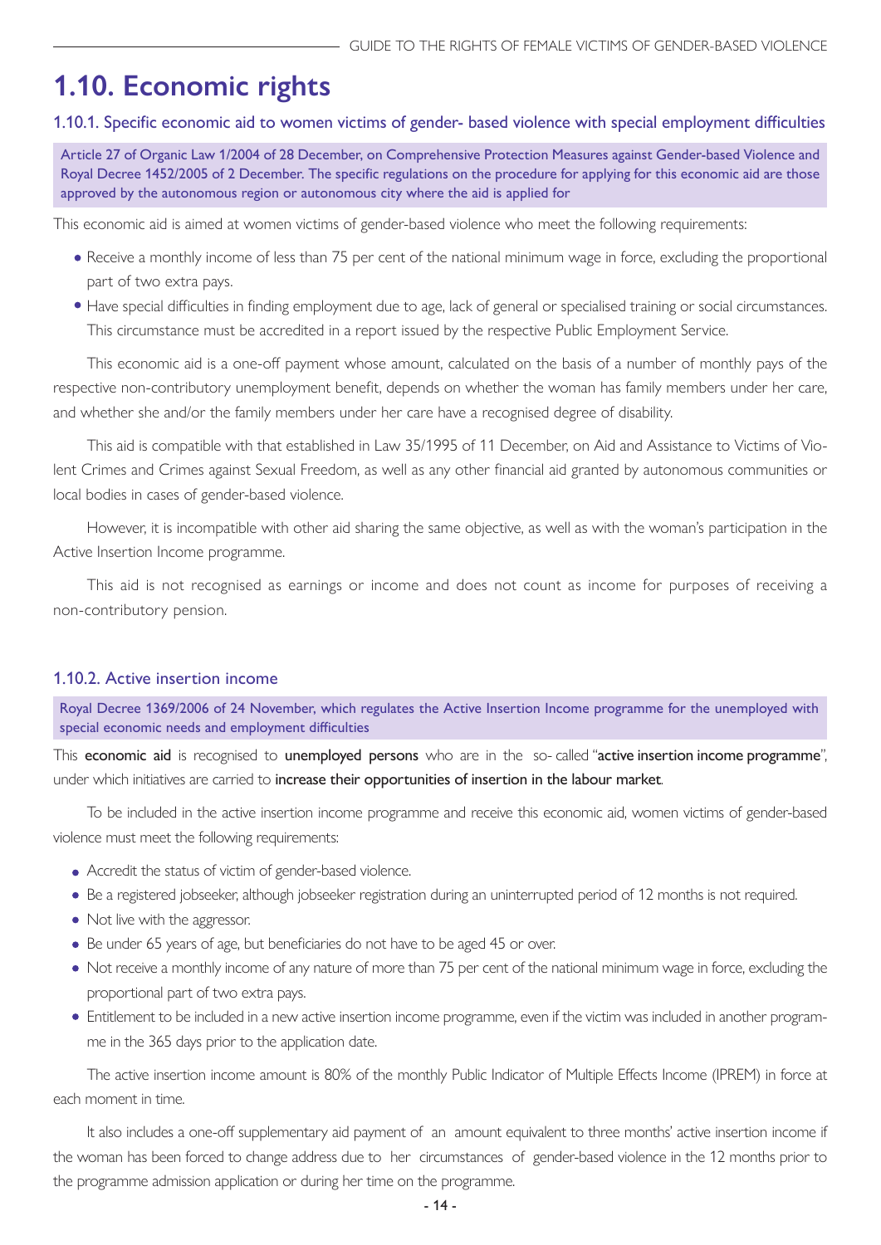## <span id="page-13-0"></span>**1.10. Economic rights**

#### 1.10.1. Specific economic aid to women victims of gender- based violence with special employment difficulties

Article 27 of Organic Law 1/2004 of 28 December, on Comprehensive Protection Measures against Gender-based Violence and Royal Decree 1452/2005 of 2 December. The specific regulations on the procedure for applying for this economic aid are those approved by the autonomous region or autonomous city where the aid is applied for

This economic aid is aimed at women victims of gender-based violence who meet the following requirements:

- Receive a monthly income of less than 75 per cent of the national minimum wage in force, excluding the proportional part of two extra pays.
- Have special difficulties in finding employment due to age, lack of general or specialised training or social circumstances. This circumstance must be accredited in a report issued by the respective Public Employment Service.

This economic aid is a one-off payment whose amount, calculated on the basis of a number of monthly pays of the respective non-contributory unemployment benefit, depends on whether the woman has family members under her care, and whether she and/or the family members under her care have a recognised degree of disability.

This aid is compatible with that established in Law 35/1995 of 11 December, on Aid and Assistance to Victims of Violent Crimes and Crimes against Sexual Freedom, as well as any other financial aid granted by autonomous communities or local bodies in cases of gender-based violence.

However, it is incompatible with other aid sharing the same objective, as well as with the woman's participation in the Active Insertion Income programme.

This aid is not recognised as earnings or income and does not count as income for purposes of receiving a non-contributory pension.

#### 1.10.2. Active insertion income

Royal Decree 1369/2006 of 24 November, which regulates the Active Insertion Income programme for the unemployed with special economic needs and employment difficulties

This economic aid is recognised to unemployed persons who are in the so-called "active insertion income programme", under which initiatives are carried to increase their opportunities of insertion in the labour market.

To be included in the active insertion income programme and receive this economic aid, women victims of gender-based violence must meet the following requirements:

- Accredit the status of victim of gender-based violence.
- Be a registered jobseeker, although jobseeker registration during an uninterrupted period of 12 months is not required.
- Not live with the aggressor.
- Be under 65 years of age, but beneficiaries do not have to be aged 45 or over.
- Not receive a monthly income of any nature of more than 75 per cent of the national minimum wage in force, excluding the proportional part of two extra pays.
- Entitlement to be included in a new active insertion income programme, even if the victim was included in another programme in the 365 days prior to the application date.

The active insertion income amount is 80% of the monthly Public Indicator of Multiple Effects Income (IPREM) in force at each moment in time.

It also includes a one-off supplementary aid payment of an amount equivalent to three months' active insertion income if the woman has been forced to change address due to her circumstances of gender-based violence in the 12 months prior to the programme admission application or during her time on the programme.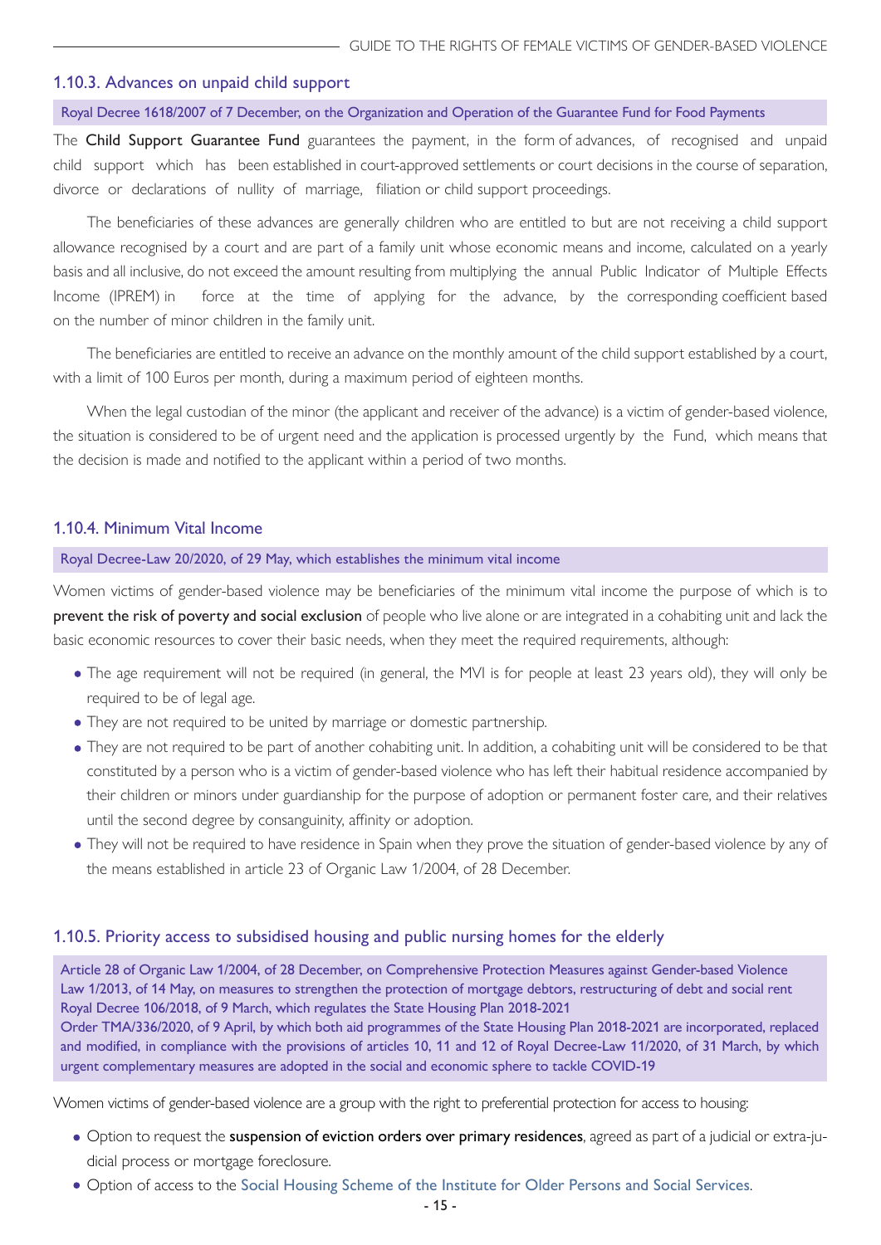#### <span id="page-14-0"></span>1.10.3. Advances on unpaid child support

#### Royal Decree 1618/2007 of 7 December, on the Organization and Operation of the Guarantee Fund for Food Payments

The Child Support Guarantee Fund guarantees the payment, in the form of advances, of recognised and unpaid child support which has been established in court-approved settlements or court decisions in the course of separation, divorce or declarations of nullity of marriage, filiation or child support proceedings.

The beneficiaries of these advances are generally children who are entitled to but are not receiving a child support allowance recognised by a court and are part of a family unit whose economic means and income, calculated on a yearly basis and all inclusive, do not exceed the amount resulting from multiplying the annual Public Indicator of Multiple Effects Income (IPREM) in force at the time of applying for the advance, by the corresponding coefficient based on the number of minor children in the family unit.

The beneficiaries are entitled to receive an advance on the monthly amount of the child support established by a court, with a limit of 100 Euros per month, during a maximum period of eighteen months.

When the legal custodian of the minor (the applicant and receiver of the advance) is a victim of gender-based violence, the situation is considered to be of urgent need and the application is processed urgently by the Fund, which means that the decision is made and notified to the applicant within a period of two months.

#### 1.10.4. Minimum Vital Income

#### Royal Decree-Law 20/2020, of 29 May, which establishes the minimum vital income

Women victims of gender-based violence may be beneficiaries of the minimum vital income the purpose of which is to prevent the risk of poverty and social exclusion of people who live alone or are integrated in a cohabiting unit and lack the basic economic resources to cover their basic needs, when they meet the required requirements, although:

- The age requirement will not be required (in general, the MVI is for people at least 23 years old), they will only be required to be of legal age.
- They are not required to be united by marriage or domestic partnership.
- They are not required to be part of another cohabiting unit. In addition, a cohabiting unit will be considered to be that constituted by a person who is a victim of gender-based violence who has left their habitual residence accompanied by their children or minors under guardianship for the purpose of adoption or permanent foster care, and their relatives until the second degree by consanguinity, affinity or adoption.
- They will not be required to have residence in Spain when they prove the situation of gender-based violence by any of the means established in article 23 of Organic Law 1/2004, of 28 December.

#### 1.10.5. Priority access to subsidised housing and public nursing homes for the elderly

Article 28 of Organic Law 1/2004, of 28 December, on Comprehensive Protection Measures against Gender-based Violence Law 1/2013, of 14 May, on measures to strengthen the protection of mortgage debtors, restructuring of debt and social rent Royal Decree 106/2018, of 9 March, which regulates the State Housing Plan 2018-2021 Order TMA/336/2020, of 9 April, by which both aid programmes of the State Housing Plan 2018-2021 are incorporated, replaced and modified, in compliance with the provisions of articles 10, 11 and 12 of Royal Decree-Law 11/2020, of 31 March, by which urgent complementary measures are adopted in the social and economic sphere to tackle COVID-19

Women victims of gender-based violence are a group with the right to preferential protection for access to housing:

- Option to request the suspension of eviction orders over primary residences, agreed as part of a judicial or extra-judicial process or mortgage foreclosure.
- Option of access to the [Social Housing Scheme of the Institute for Older Persons and Social Services](http://www.imserso.es/imserso_01/fsva/index.htm
).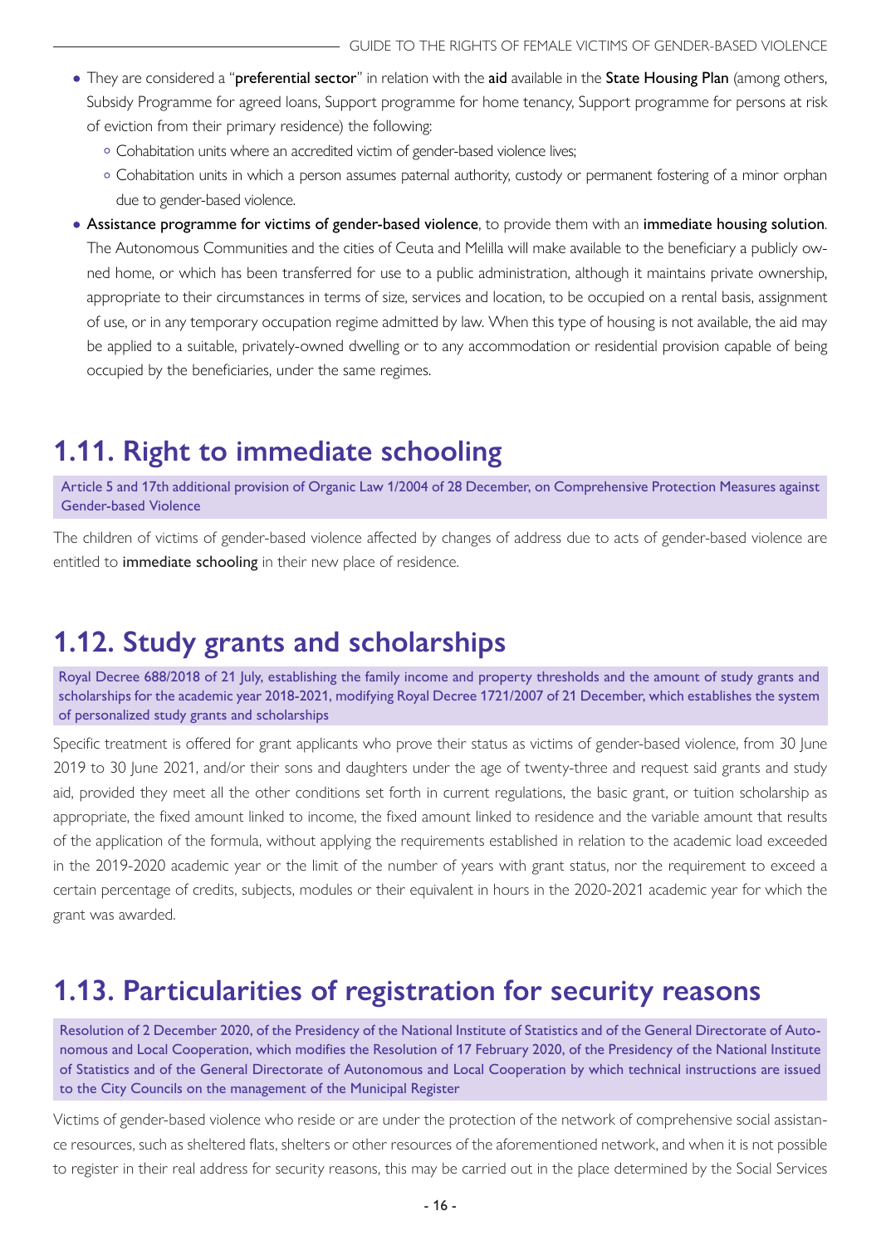- <span id="page-15-0"></span>. They are considered a "preferential sector" in relation with the aid available in the State Housing Plan (among others, Subsidy Programme for agreed loans, Support programme for home tenancy, Support programme for persons at risk of eviction from their primary residence) the following:
	- Cohabitation units where an accredited victim of gender-based violence lives;
	- Cohabitation units in which a person assumes paternal authority, custody or permanent fostering of a minor orphan due to gender-based violence.
- Assistance programme for victims of gender-based violence, to provide them with an immediate housing solution. The Autonomous Communities and the cities of Ceuta and Melilla will make available to the beneficiary a publicly owned home, or which has been transferred for use to a public administration, although it maintains private ownership, appropriate to their circumstances in terms of size, services and location, to be occupied on a rental basis, assignment of use, or in any temporary occupation regime admitted by law. When this type of housing is not available, the aid may be applied to a suitable, privately-owned dwelling or to any accommodation or residential provision capable of being occupied by the beneficiaries, under the same regimes.

## **1.11. Right to immediate schooling**

Article 5 and 17th additional provision of Organic Law 1/2004 of 28 December, on Comprehensive Protection Measures against Gender-based Violence

The children of victims of gender-based violence affected by changes of address due to acts of gender-based violence are entitled to immediate schooling in their new place of residence.

## **1.12. Study grants and scholarships**

Royal Decree 688/2018 of 21 July, establishing the family income and property thresholds and the amount of study grants and scholarships for the academic year 2018-2021, modifying Royal Decree 1721/2007 of 21 December, which establishes the system of personalized study grants and scholarships

Specific treatment is offered for grant applicants who prove their status as victims of gender-based violence, from 30 June 2019 to 30 June 2021, and/or their sons and daughters under the age of twenty-three and request said grants and study aid, provided they meet all the other conditions set forth in current regulations, the basic grant, or tuition scholarship as appropriate, the fixed amount linked to income, the fixed amount linked to residence and the variable amount that results of the application of the formula, without applying the requirements established in relation to the academic load exceeded in the 2019-2020 academic year or the limit of the number of years with grant status, nor the requirement to exceed a certain percentage of credits, subjects, modules or their equivalent in hours in the 2020-2021 academic year for which the grant was awarded.

## **1.13. Particularities of registration for security reasons**

Resolution of 2 December 2020, of the Presidency of the National Institute of Statistics and of the General Directorate of Autonomous and Local Cooperation, which modifies the Resolution of 17 February 2020, of the Presidency of the National Institute of Statistics and of the General Directorate of Autonomous and Local Cooperation by which technical instructions are issued to the City Councils on the management of the Municipal Register

Victims of gender-based violence who reside or are under the protection of the network of comprehensive social assistance resources, such as sheltered flats, shelters or other resources of the aforementioned network, and when it is not possible to register in their real address for security reasons, this may be carried out in the place determined by the Social Services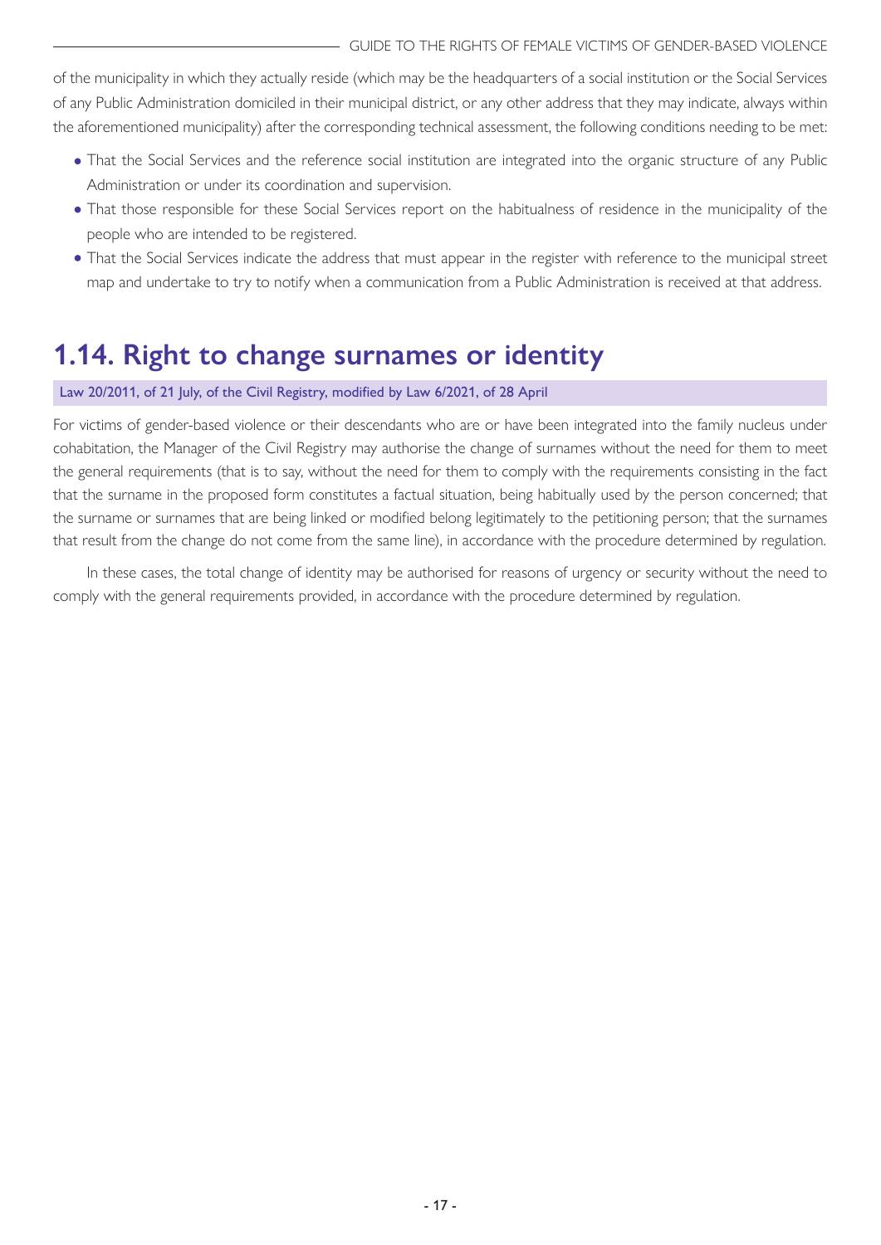<span id="page-16-0"></span>of the municipality in which they actually reside (which may be the headquarters of a social institution or the Social Services of any Public Administration domiciled in their municipal district, or any other address that they may indicate, always within the aforementioned municipality) after the corresponding technical assessment, the following conditions needing to be met:

- That the Social Services and the reference social institution are integrated into the organic structure of any Public Administration or under its coordination and supervision.
- That those responsible for these Social Services report on the habitualness of residence in the municipality of the people who are intended to be registered.
- That the Social Services indicate the address that must appear in the register with reference to the municipal street map and undertake to try to notify when a communication from a Public Administration is received at that address.

## **1.14. Right to change surnames or identity**

#### Law 20/2011, of 21 July, of the Civil Registry, modified by Law 6/2021, of 28 April

For victims of gender-based violence or their descendants who are or have been integrated into the family nucleus under cohabitation, the Manager of the Civil Registry may authorise the change of surnames without the need for them to meet the general requirements (that is to say, without the need for them to comply with the requirements consisting in the fact that the surname in the proposed form constitutes a factual situation, being habitually used by the person concerned; that the surname or surnames that are being linked or modified belong legitimately to the petitioning person; that the surnames that result from the change do not come from the same line), in accordance with the procedure determined by regulation.

In these cases, the total change of identity may be authorised for reasons of urgency or security without the need to comply with the general requirements provided, in accordance with the procedure determined by regulation.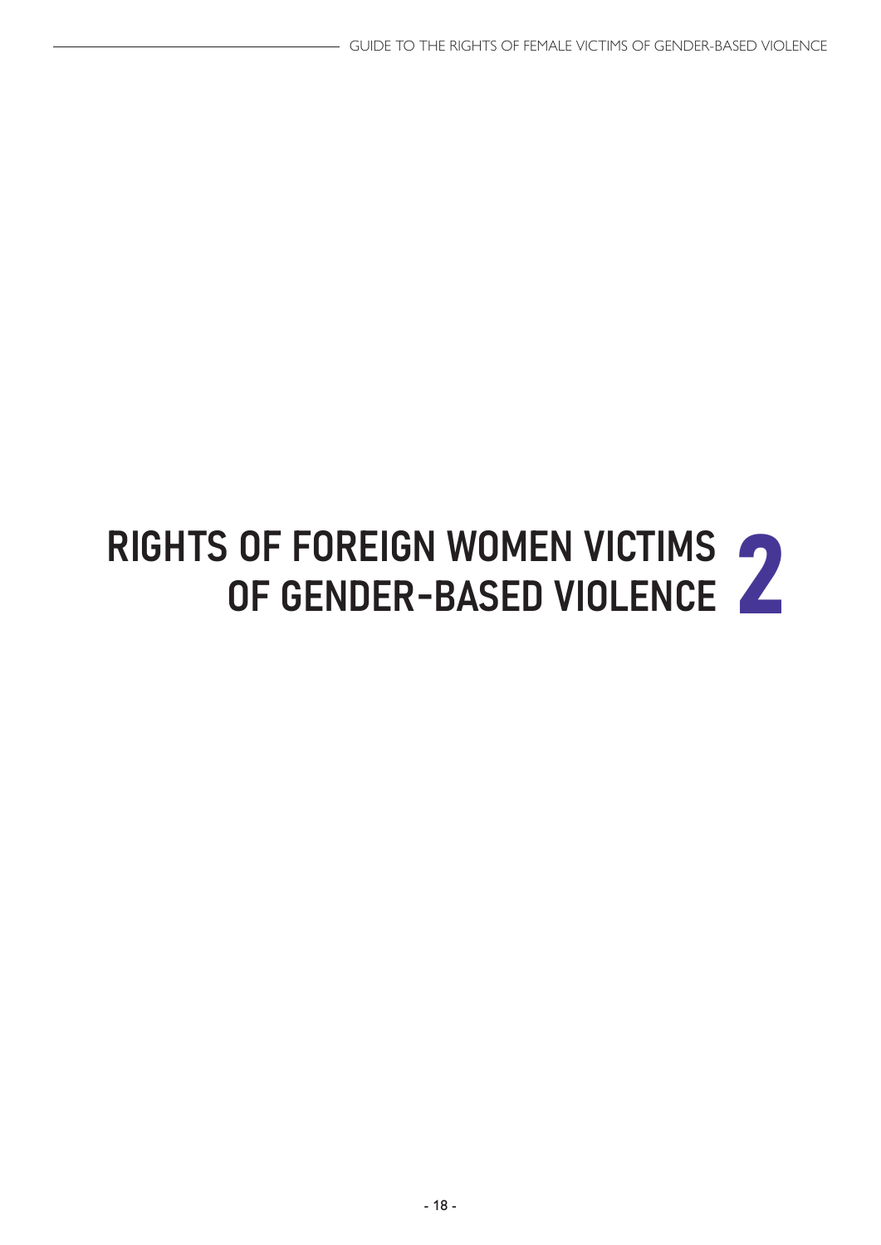# <span id="page-17-0"></span>RIGHTS OF FOREIGN WOMEN VICTIMS<br>OF GENDER-BASED VIOLENCE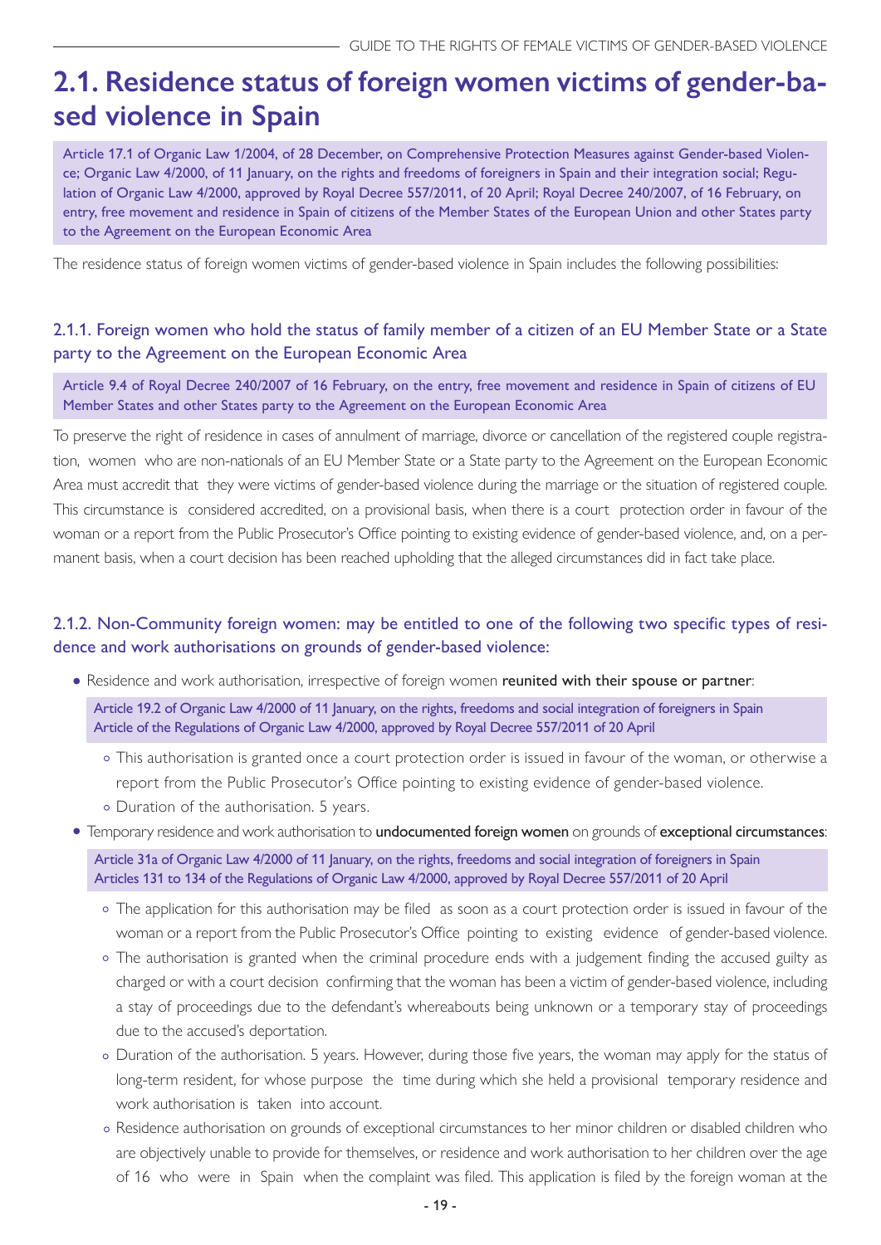## <span id="page-18-0"></span>**2.1. Residence status of foreign women victims of gender-based violence in Spain**

Article 17.1 of Organic Law 1/2004, of 28 December, on Comprehensive Protection Measures against Gender-based Violence; Organic Law 4/2000, of 11 January, on the rights and freedoms of foreigners in Spain and their integration social; Regulation of Organic Law 4/2000, approved by Royal Decree 557/2011, of 20 April; Royal Decree 240/2007, of 16 February, on entry, free movement and residence in Spain of citizens of the Member States of the European Union and other States party to the Agreement on the European Economic Area

The residence status of foreign women victims of gender-based violence in Spain includes the following possibilities:

#### 2.1.1. Foreign women who hold the status of family member of a citizen of an EU Member State or a State party to the Agreement on the European Economic Area

Article 9.4 of Royal Decree 240/2007 of 16 February, on the entry, free movement and residence in Spain of citizens of EU Member States and other States party to the Agreement on the European Economic Area

To preserve the right of residence in cases of annulment of marriage, divorce or cancellation of the registered couple registration, women who are non-nationals of an EU Member State or a State party to the Agreement on the European Economic Area must accredit that they were victims of gender-based violence during the marriage or the situation of registered couple. This circumstance is considered accredited, on a provisional basis, when there is a court protection order in favour of the woman or a report from the Public Prosecutor's Office pointing to existing evidence of gender-based violence, and, on a permanent basis, when a court decision has been reached upholding that the alleged circumstances did in fact take place.

#### 2.1.2. Non-Community foreign women: may be entitled to one of the following two specific types of residence and work authorisations on grounds of gender-based violence:

• Residence and work authorisation, irrespective of foreign women reunited with their spouse or partner:

Article 19.2 of Organic Law 4/2000 of 11 January, on the rights, freedoms and social integration of foreigners in Spain Article of the Regulations of Organic Law 4/2000, approved by Royal Decree 557/2011 of 20 April

- This authorisation is granted once a court protection order is issued in favour of the woman, or otherwise a report from the Public Prosecutor's Office pointing to existing evidence of gender-based violence.
- Duration of the authorisation. 5 years.

#### **•** Temporary residence and work authorisation to undocumented foreign women on grounds of exceptional circumstances:

Article 31a of Organic Law 4/2000 of 11 January, on the rights, freedoms and social integration of foreigners in Spain Articles 131 to 134 of the Regulations of Organic Law 4/2000, approved by Royal Decree 557/2011 of 20 April

- The application for this authorisation may be filed as soon as a court protection order is issued in favour of the woman or a report from the Public Prosecutor's Office pointing to existing evidence of gender-based violence.
- The authorisation is granted when the criminal procedure ends with a judgement finding the accused guilty as charged or with a court decision confirming that the woman has been a victim of gender-based violence, including a stay of proceedings due to the defendant's whereabouts being unknown or a temporary stay of proceedings due to the accused's deportation.
- Duration of the authorisation. 5 years. However, during those five years, the woman may apply for the status of long-term resident, for whose purpose the time during which she held a provisional temporary residence and work authorisation is taken into account.
- Residence authorisation on grounds of exceptional circumstances to her minor children or disabled children who are objectively unable to provide for themselves, or residence and work authorisation to her children over the age of 16 who were in Spain when the complaint was filed. This application is filed by the foreign woman at the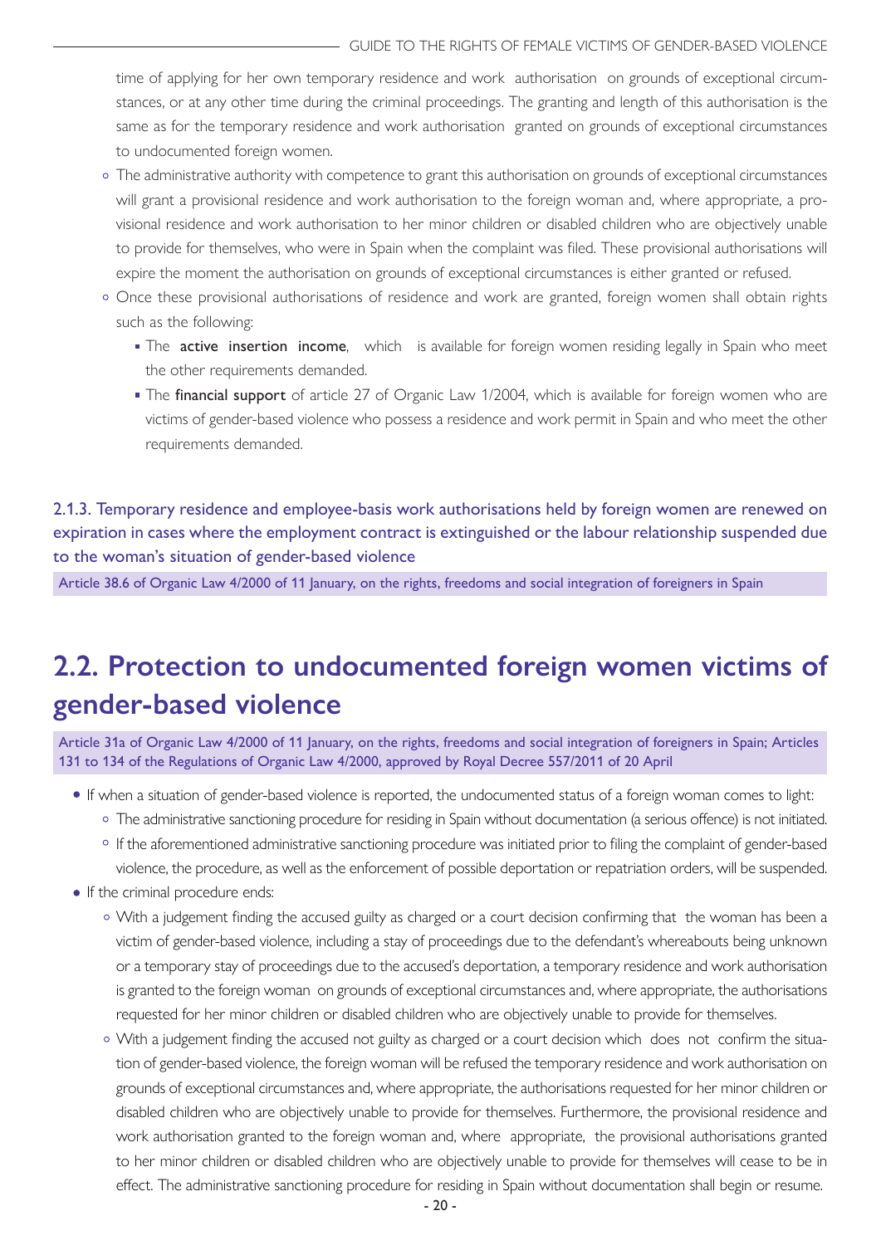<span id="page-19-0"></span>time of applying for her own temporary residence and work authorisation on grounds of exceptional circumstances, or at any other time during the criminal proceedings. The granting and length of this authorisation is the same as for the temporary residence and work authorisation granted on grounds of exceptional circumstances to undocumented foreign women.

- The administrative authority with competence to grant this authorisation on grounds of exceptional circumstances will grant a provisional residence and work authorisation to the foreign woman and, where appropriate, a provisional residence and work authorisation to her minor children or disabled children who are objectively unable to provide for themselves, who were in Spain when the complaint was filed. These provisional authorisations will expire the moment the authorisation on grounds of exceptional circumstances is either granted or refused.
- o Once these provisional authorisations of residence and work are granted, foreign women shall obtain rights such as the following:
	- The active insertion income, which is available for foreign women residing legally in Spain who meet the other requirements demanded.
	- The financial support of article 27 of Organic Law 1/2004, which is available for foreign women who are victims of gender-based violence who possess a residence and work permit in Spain and who meet the other requirements demanded.

2.1.3. Temporary residence and employee-basis work authorisations held by foreign women are renewed on expiration in cases where the employment contract is extinguished or the labour relationship suspended due to the woman's situation of gender-based violence

Article 38.6 of Organic Law 4/2000 of 11 January, on the rights, freedoms and social integration of foreigners in Spain

## **2.2. Protection to undocumented foreign women victims of gender-based violence**

Article 31a of Organic Law 4/2000 of 11 January, on the rights, freedoms and social integration of foreigners in Spain; Articles 131 to 134 of the Regulations of Organic Law 4/2000, approved by Royal Decree 557/2011 of 20 April

- If when a situation of gender-based violence is reported, the undocumented status of a foreign woman comes to light:
	- The administrative sanctioning procedure for residing in Spain without documentation (a serious offence) is not initiated.
	- o If the aforementioned administrative sanctioning procedure was initiated prior to filing the complaint of gender-based violence, the procedure, as well as the enforcement of possible deportation or repatriation orders, will be suspended.
- If the criminal procedure ends:
	- With a judgement finding the accused guilty as charged or a court decision confirming that the woman has been a victim of gender-based violence, including a stay of proceedings due to the defendant's whereabouts being unknown or a temporary stay of proceedings due to the accused's deportation, a temporary residence and work authorisation is granted to the foreign woman on grounds of exceptional circumstances and, where appropriate, the authorisations requested for her minor children or disabled children who are objectively unable to provide for themselves.
	- With a judgement finding the accused not guilty as charged or a court decision which does not confirm the situation of gender-based violence, the foreign woman will be refused the temporary residence and work authorisation on grounds of exceptional circumstances and, where appropriate, the authorisations requested for her minor children or disabled children who are objectively unable to provide for themselves. Furthermore, the provisional residence and work authorisation granted to the foreign woman and, where appropriate, the provisional authorisations granted to her minor children or disabled children who are objectively unable to provide for themselves will cease to be in effect. The administrative sanctioning procedure for residing in Spain without documentation shall begin or resume.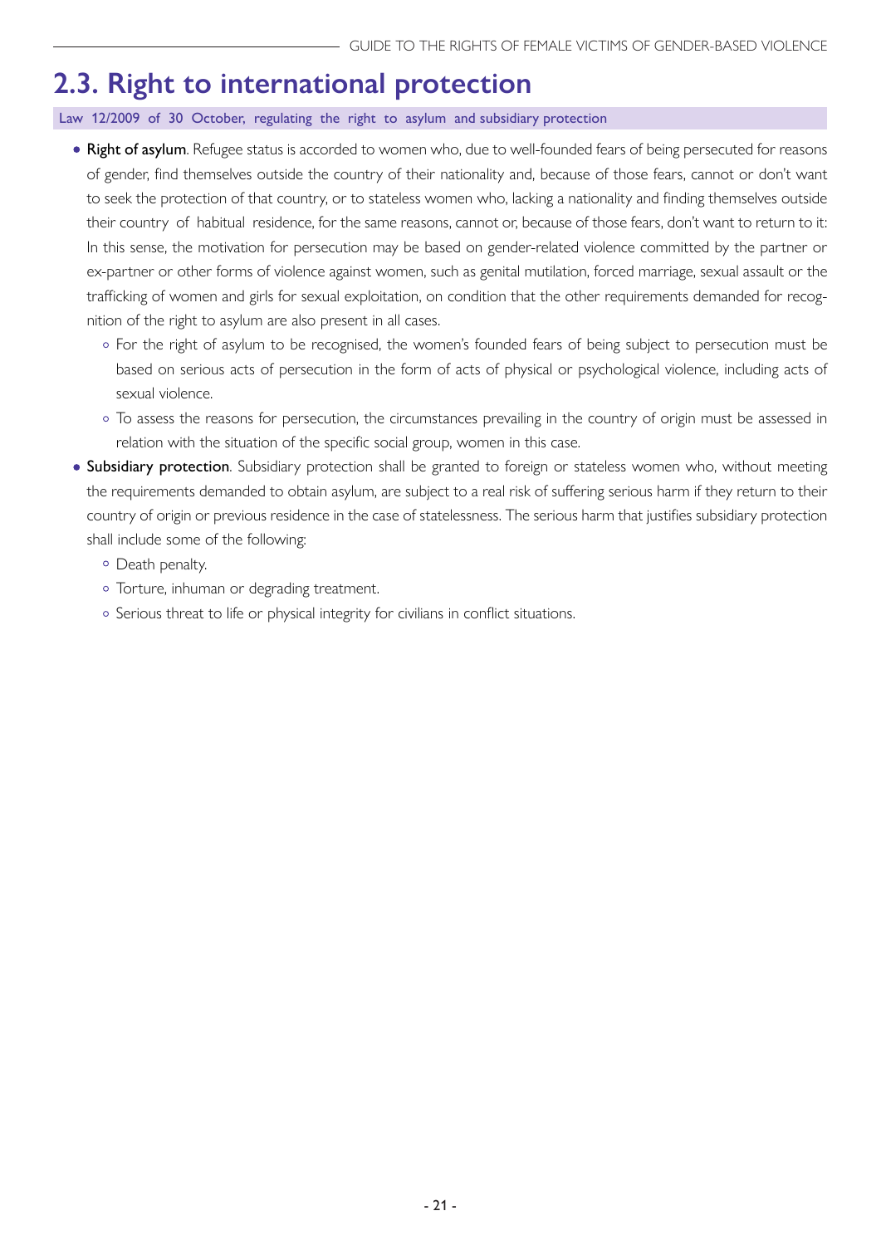## <span id="page-20-0"></span>**2.3. Right to international protection**

Law 12/2009 of 30 October, regulating the right to asylum and subsidiary protection

- Right of asylum. Refugee status is accorded to women who, due to well-founded fears of being persecuted for reasons of gender, find themselves outside the country of their nationality and, because of those fears, cannot or don't want to seek the protection of that country, or to stateless women who, lacking a nationality and finding themselves outside their country of habitual residence, for the same reasons, cannot or, because of those fears, don't want to return to it: In this sense, the motivation for persecution may be based on gender-related violence committed by the partner or ex-partner or other forms of violence against women, such as genital mutilation, forced marriage, sexual assault or the trafficking of women and girls for sexual exploitation, on condition that the other requirements demanded for recognition of the right to asylum are also present in all cases.
	- o For the right of asylum to be recognised, the women's founded fears of being subject to persecution must be based on serious acts of persecution in the form of acts of physical or psychological violence, including acts of sexual violence.
	- To assess the reasons for persecution, the circumstances prevailing in the country of origin must be assessed in relation with the situation of the specific social group, women in this case.
- **Subsidiary protection**. Subsidiary protection shall be granted to foreign or stateless women who, without meeting the requirements demanded to obtain asylum, are subject to a real risk of suffering serious harm if they return to their country of origin or previous residence in the case of statelessness. The serious harm that justifies subsidiary protection shall include some of the following:
	- Death penalty.
	- o Torture, inhuman or degrading treatment.
	- o Serious threat to life or physical integrity for civilians in conflict situations.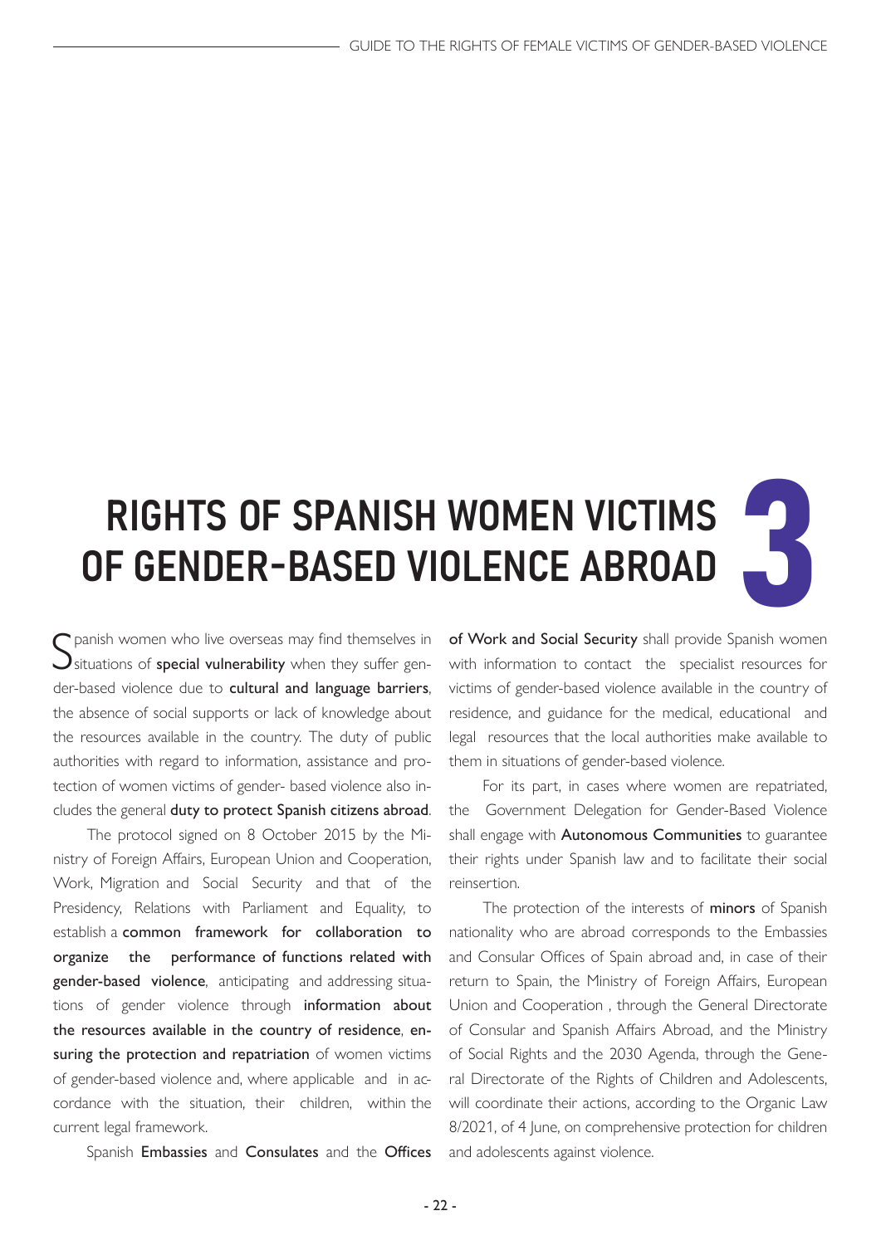# <span id="page-21-0"></span>RIGHTS OF SPANISH WOMEN VICTIMS OF GENDER-BASED VIOLENCE ABROAD

S panish women who live overseas may find themselves in<br>Situations of special vulnerability when they suffer genpanish women who live overseas may find themselves in der-based violence due to cultural and language barriers, the absence of social supports or lack of knowledge about the resources available in the country. The duty of public authorities with regard to information, assistance and protection of women victims of gender- based violence also includes the general duty to protect Spanish citizens abroad.

The protocol signed on 8 October 2015 by the Ministry of Foreign Affairs, European Union and Cooperation, Work, Migration and Social Security and that of the Presidency, Relations with Parliament and Equality, to establish a common framework for collaboration to organize the performance of functions related with gender-based violence, anticipating and addressing situations of gender violence through information about the resources available in the country of residence, ensuring the protection and repatriation of women victims of gender-based violence and, where applicable and in accordance with the situation, their children, within the current legal framework.

Spanish Embassies and Consulates and the Offices

of Work and Social Security shall provide Spanish women with information to contact the specialist resources for victims of gender-based violence available in the country of residence, and guidance for the medical, educational and legal resources that the local authorities make available to them in situations of gender-based violence.

For its part, in cases where women are repatriated, the Government Delegation for Gender-Based Violence shall engage with Autonomous Communities to guarantee their rights under Spanish law and to facilitate their social reinsertion.

The protection of the interests of minors of Spanish nationality who are abroad corresponds to the Embassies and Consular Offices of Spain abroad and, in case of their return to Spain, the Ministry of Foreign Affairs, European Union and Cooperation , through the General Directorate of Consular and Spanish Affairs Abroad, and the Ministry of Social Rights and the 2030 Agenda, through the General Directorate of the Rights of Children and Adolescents, will coordinate their actions, according to the Organic Law 8/2021, of 4 June, on comprehensive protection for children and adolescents against violence.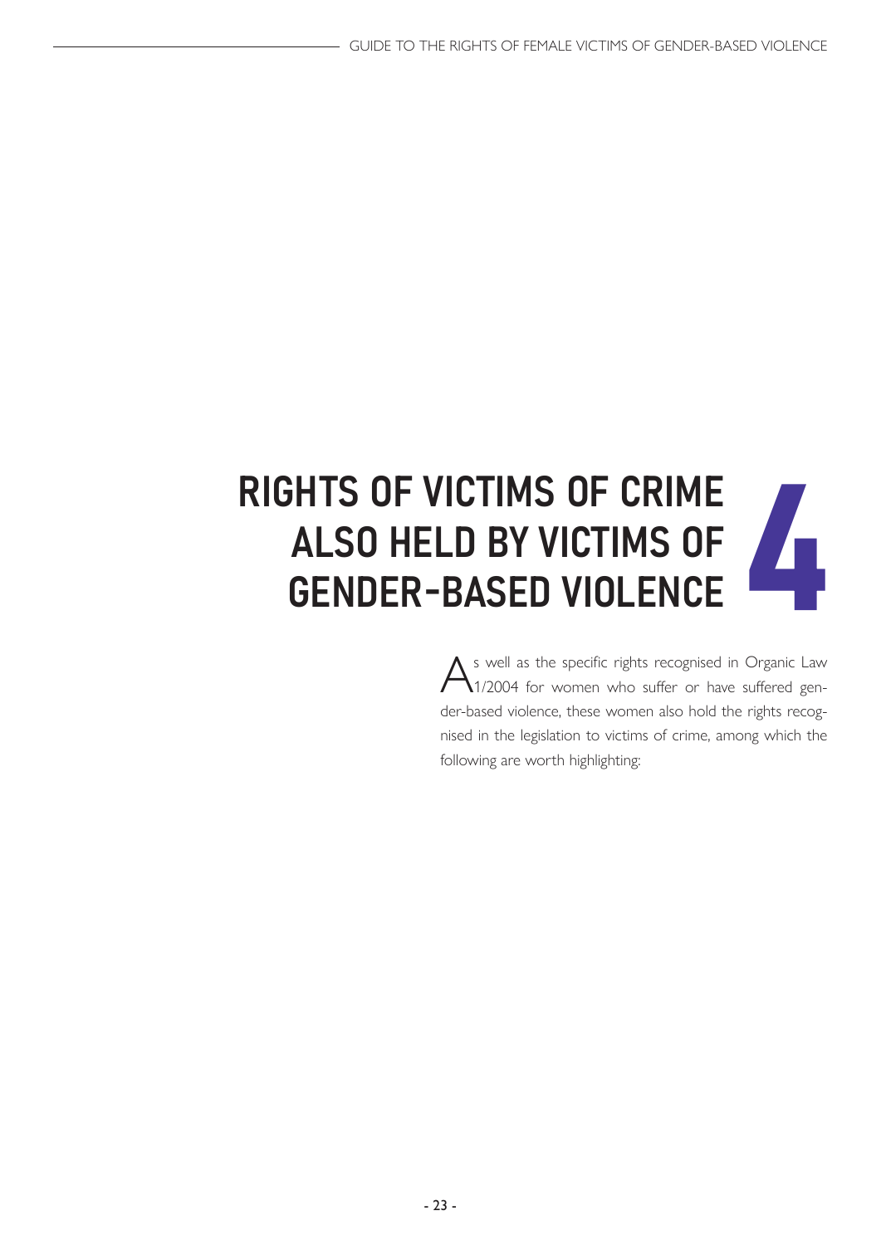# <span id="page-22-0"></span>RIGHTS OF VICTIMS OF CRIME ALSO HELD BY VICTIMS OF FRANCH SHADE SHADE DE CHINE<br>GENDER-BASED VIOLENCE

As well as the specific rights recognised in Organic Law 1/2004 for women who suffer or have suffered gender-based violence, these women also hold the rights recognised in the legislation to victims of crime, among which the following are worth highlighting: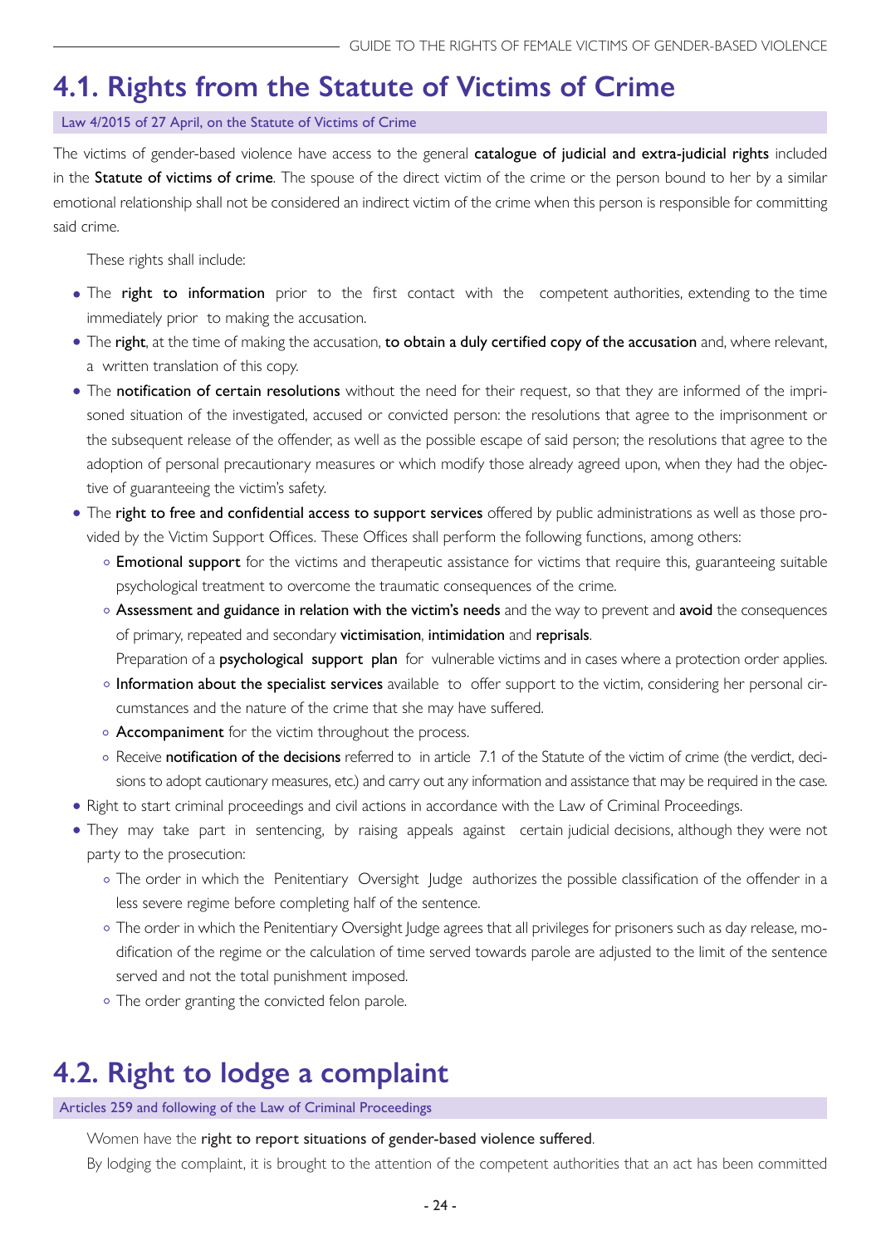## <span id="page-23-0"></span>**4.1. Rights from the Statute of Victims of Crime**

#### Law 4/2015 of 27 April, on the Statute of Victims of Crime

The victims of gender-based violence have access to the general catalogue of judicial and extra-judicial rights included in the Statute of victims of crime. The spouse of the direct victim of the crime or the person bound to her by a similar emotional relationship shall not be considered an indirect victim of the crime when this person is responsible for committing said crime.

These rights shall include:

- The right to information prior to the first contact with the competent authorities, extending to the time immediately prior to making the accusation.
- The right, at the time of making the accusation, to obtain a duly certified copy of the accusation and, where relevant, a written translation of this copy.
- The notification of certain resolutions without the need for their request, so that they are informed of the imprisoned situation of the investigated, accused or convicted person: the resolutions that agree to the imprisonment or the subsequent release of the offender, as well as the possible escape of said person; the resolutions that agree to the adoption of personal precautionary measures or which modify those already agreed upon, when they had the objective of guaranteeing the victim's safety.
- The right to free and confidential access to support services offered by public administrations as well as those provided by the Victim Support Offices. These Offices shall perform the following functions, among others:
	- **Emotional support** for the victims and therapeutic assistance for victims that require this, guaranteeing suitable psychological treatment to overcome the traumatic consequences of the crime.
	- Assessment and guidance in relation with the victim's needs and the way to prevent and avoid the consequences of primary, repeated and secondary victimisation, intimidation and reprisals.

Preparation of a psychological support plan for vulnerable victims and in cases where a protection order applies.

- o Information about the specialist services available to offer support to the victim, considering her personal circumstances and the nature of the crime that she may have suffered.
- $\circ$  Accompaniment for the victim throughout the process.
- o Receive notification of the decisions referred to in article 7.1 of the Statute of the victim of crime (the verdict, decisions to adopt cautionary measures, etc.) and carry out any information and assistance that may be required in the case.
- Right to start criminal proceedings and civil actions in accordance with the Law of Criminal Proceedings.
- They may take part in sentencing, by raising appeals against certain judicial decisions, although they were not party to the prosecution:
	- The order in which the Penitentiary Oversight Judge authorizes the possible classification of the offender in a less severe regime before completing half of the sentence.
	- The order in which the Penitentiary Oversight Judge agrees that all privileges for prisoners such as day release, modification of the regime or the calculation of time served towards parole are adjusted to the limit of the sentence served and not the total punishment imposed.
	- o The order granting the convicted felon parole.

## **4.2. Right to lodge a complaint**

Articles 259 and following of the Law of Criminal Proceedings

Women have the right to report situations of gender-based violence suffered.

By lodging the complaint, it is brought to the attention of the competent authorities that an act has been committed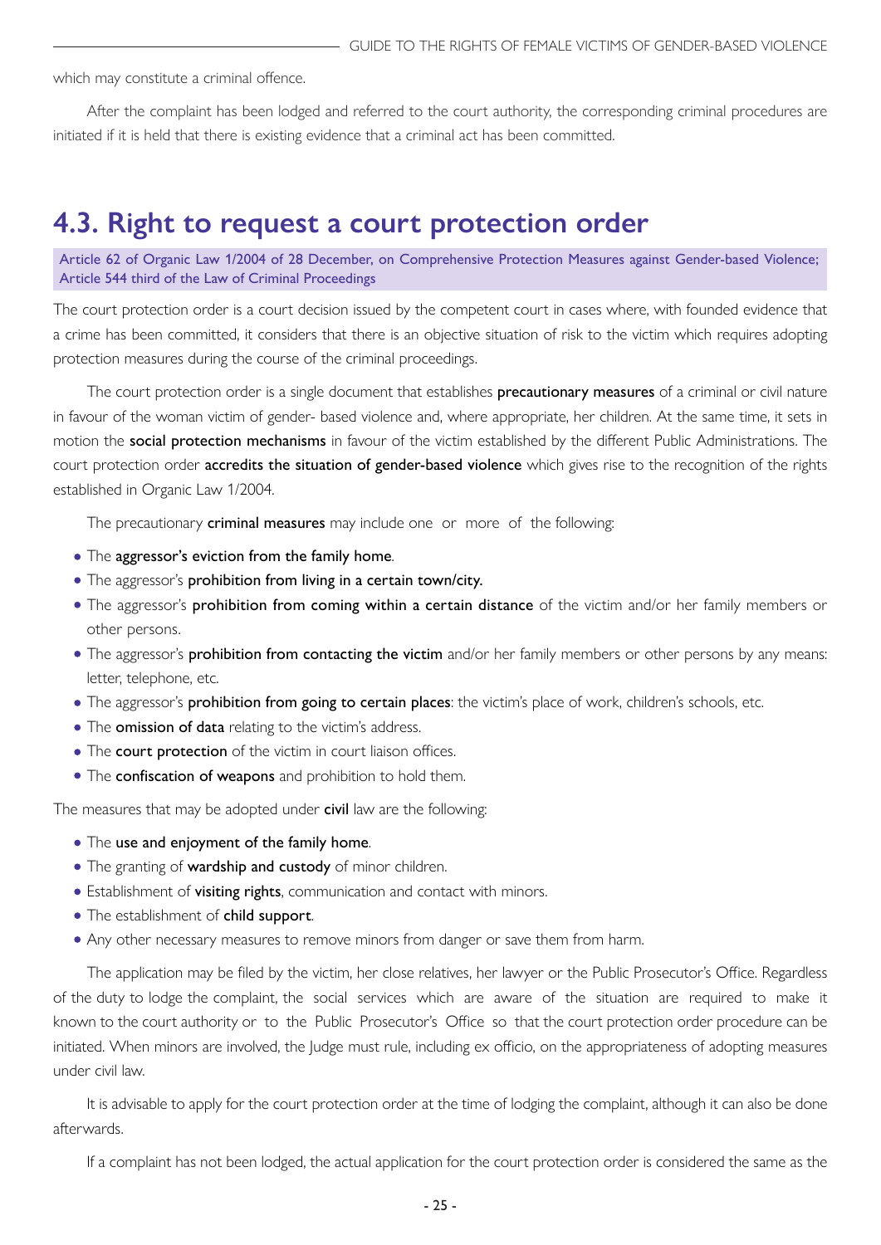<span id="page-24-0"></span>which may constitute a criminal offence.

After the complaint has been lodged and referred to the court authority, the corresponding criminal procedures are initiated if it is held that there is existing evidence that a criminal act has been committed.

## **4.3. Right to request a court protection order**

Article 62 of Organic Law 1/2004 of 28 December, on Comprehensive Protection Measures against Gender-based Violence; Article 544 third of the Law of Criminal Proceedings

The court protection order is a court decision issued by the competent court in cases where, with founded evidence that a crime has been committed, it considers that there is an objective situation of risk to the victim which requires adopting protection measures during the course of the criminal proceedings.

The court protection order is a single document that establishes **precautionary measures** of a criminal or civil nature in favour of the woman victim of gender- based violence and, where appropriate, her children. At the same time, it sets in motion the social protection mechanisms in favour of the victim established by the different Public Administrations. The court protection order accredits the situation of gender-based violence which gives rise to the recognition of the rights established in Organic Law 1/2004.

The precautionary **criminal measures** may include one or more of the following:

- The aggressor's eviction from the family home.
- The aggressor's **prohibition from living in a certain town/city.**
- The aggressor's prohibition from coming within a certain distance of the victim and/or her family members or other persons.
- The aggressor's prohibition from contacting the victim and/or her family members or other persons by any means: letter, telephone, etc.
- The aggressor's prohibition from going to certain places: the victim's place of work, children's schools, etc.
- The omission of data relating to the victim's address.
- The court protection of the victim in court liaison offices.
- The confiscation of weapons and prohibition to hold them.

The measures that may be adopted under civil law are the following:

- The use and enjoyment of the family home.
- The granting of wardship and custody of minor children.
- **Establishment of visiting rights**, communication and contact with minors.
- The establishment of child support.
- Any other necessary measures to remove minors from danger or save them from harm.

The application may be filed by the victim, her close relatives, her lawyer or the Public Prosecutor's Office. Regardless of the duty to lodge the complaint, the social services which are aware of the situation are required to make it known to the court authority or to the Public Prosecutor's Office so that the court protection order procedure can be initiated. When minors are involved, the Judge must rule, including ex officio, on the appropriateness of adopting measures under civil law.

It is advisable to apply for the court protection order at the time of lodging the complaint, although it can also be done afterwards.

If a complaint has not been lodged, the actual application for the court protection order is considered the same as the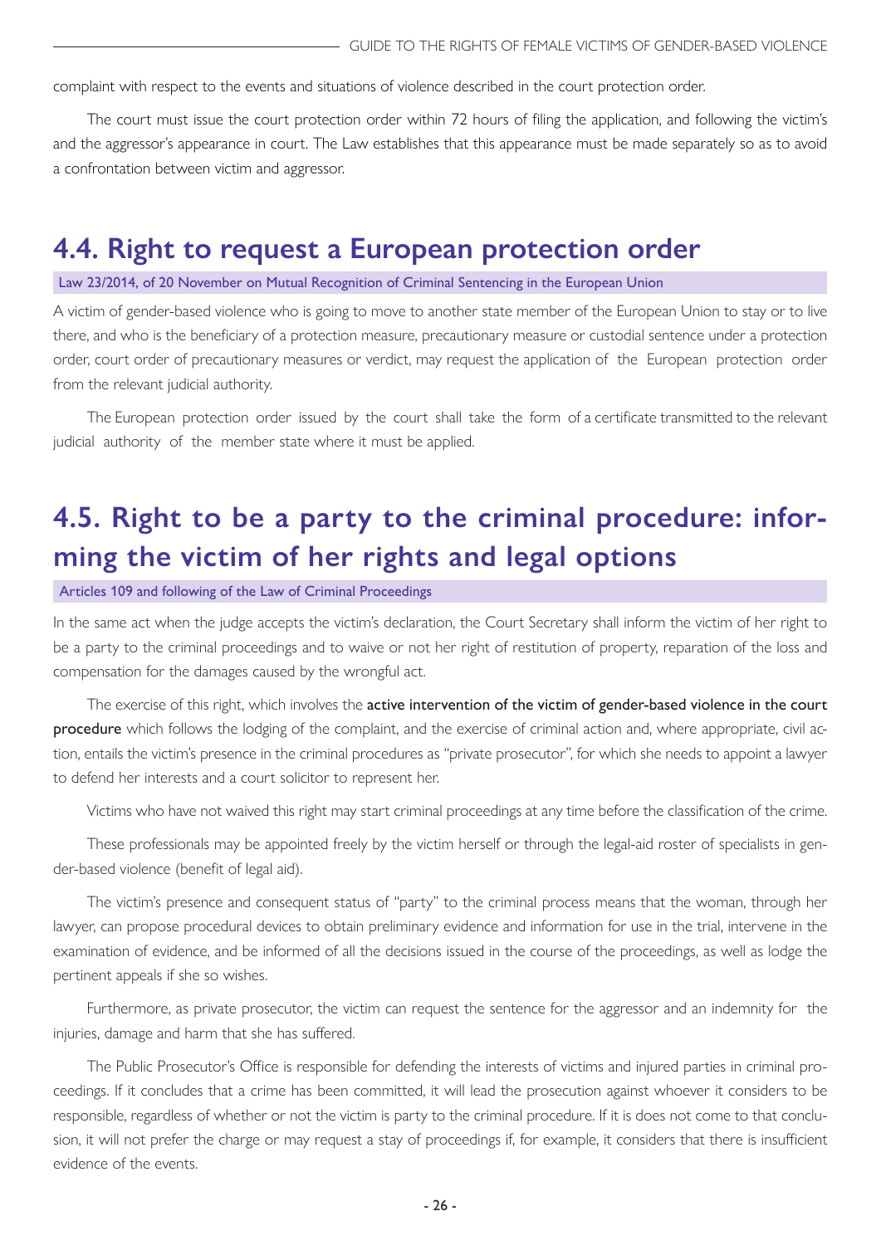<span id="page-25-0"></span>complaint with respect to the events and situations of violence described in the court protection order.

The court must issue the court protection order within 72 hours of filing the application, and following the victim's and the aggressor's appearance in court. The Law establishes that this appearance must be made separately so as to avoid a confrontation between victim and aggressor.

## **4.4. Right to request a European protection order**

#### Law 23/2014, of 20 November on Mutual Recognition of Criminal Sentencing in the European Union

A victim of gender-based violence who is going to move to another state member of the European Union to stay or to live there, and who is the beneficiary of a protection measure, precautionary measure or custodial sentence under a protection order, court order of precautionary measures or verdict, may request the application of the European protection order from the relevant judicial authority.

The European protection order issued by the court shall take the form of a certificate transmitted to the relevant judicial authority of the member state where it must be applied.

## **4.5. Right to be a party to the criminal procedure: informing the victim of her rights and legal options**

Articles 109 and following of the Law of Criminal Proceedings

In the same act when the judge accepts the victim's declaration, the Court Secretary shall inform the victim of her right to be a party to the criminal proceedings and to waive or not her right of restitution of property, reparation of the loss and compensation for the damages caused by the wrongful act.

The exercise of this right, which involves the active intervention of the victim of gender-based violence in the court procedure which follows the lodging of the complaint, and the exercise of criminal action and, where appropriate, civil action, entails the victim's presence in the criminal procedures as "private prosecutor", for which she needs to appoint a lawyer to defend her interests and a court solicitor to represent her.

Victims who have not waived this right may start criminal proceedings at any time before the classification of the crime.

These professionals may be appointed freely by the victim herself or through the legal-aid roster of specialists in gender-based violence (benefit of legal aid).

The victim's presence and consequent status of "party" to the criminal process means that the woman, through her lawyer, can propose procedural devices to obtain preliminary evidence and information for use in the trial, intervene in the examination of evidence, and be informed of all the decisions issued in the course of the proceedings, as well as lodge the pertinent appeals if she so wishes.

Furthermore, as private prosecutor, the victim can request the sentence for the aggressor and an indemnity for the injuries, damage and harm that she has suffered.

The Public Prosecutor's Office is responsible for defending the interests of victims and injured parties in criminal proceedings. If it concludes that a crime has been committed, it will lead the prosecution against whoever it considers to be responsible, regardless of whether or not the victim is party to the criminal procedure. If it is does not come to that conclusion, it will not prefer the charge or may request a stay of proceedings if, for example, it considers that there is insufficient evidence of the events.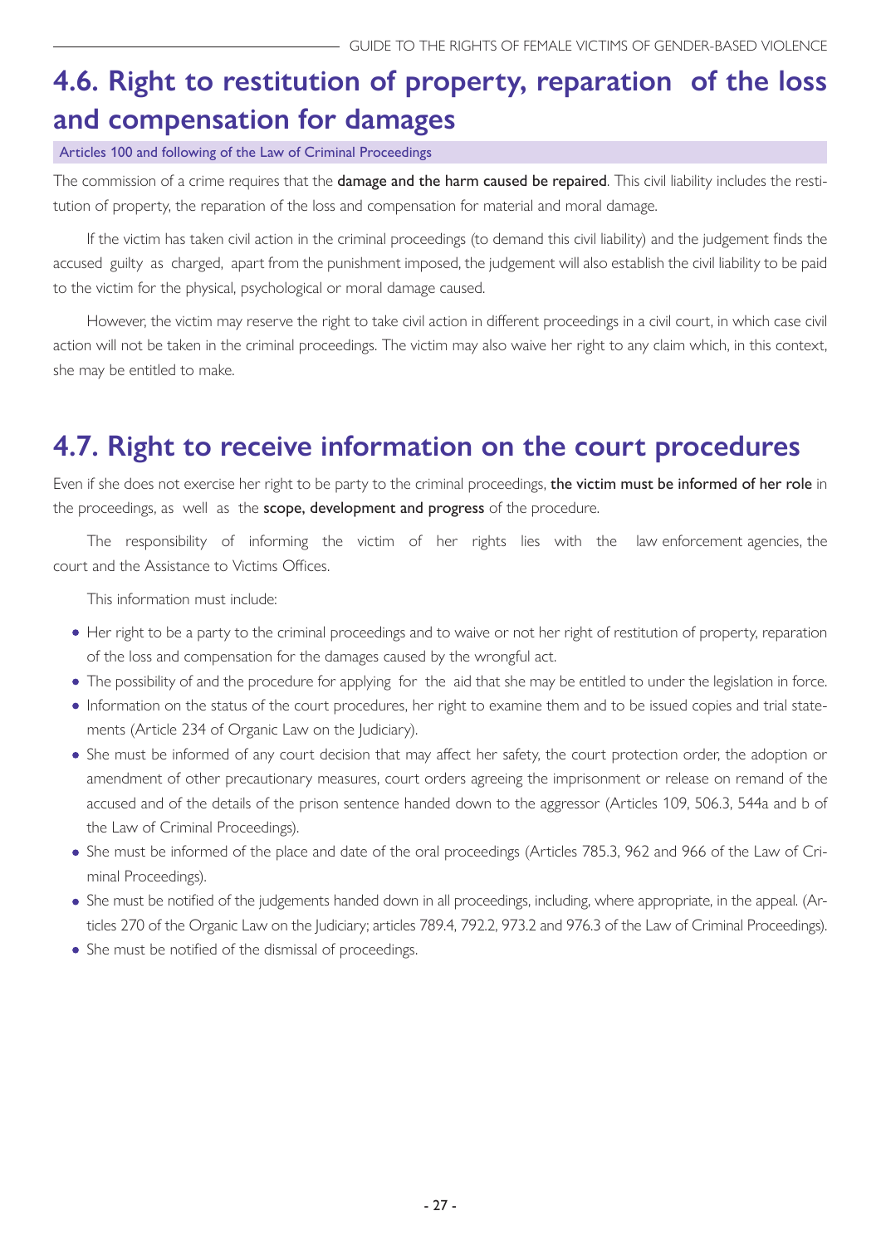## <span id="page-26-0"></span>**4.6. Right to restitution of property, reparation of the loss and compensation for damages**

Articles 100 and following of the Law of Criminal Proceedings

The commission of a crime requires that the **damage and the harm caused be repaired**. This civil liability includes the restitution of property, the reparation of the loss and compensation for material and moral damage.

If the victim has taken civil action in the criminal proceedings (to demand this civil liability) and the judgement finds the accused guilty as charged, apart from the punishment imposed, the judgement will also establish the civil liability to be paid to the victim for the physical, psychological or moral damage caused.

However, the victim may reserve the right to take civil action in different proceedings in a civil court, in which case civil action will not be taken in the criminal proceedings. The victim may also waive her right to any claim which, in this context, she may be entitled to make.

## **4.7. Right to receive information on the court procedures**

Even if she does not exercise her right to be party to the criminal proceedings, the victim must be informed of her role in the proceedings, as well as the scope, development and progress of the procedure.

The responsibility of informing the victim of her rights lies with the law enforcement agencies, the court and the Assistance to Victims Offices.

This information must include:

- Her right to be a party to the criminal proceedings and to waive or not her right of restitution of property, reparation of the loss and compensation for the damages caused by the wrongful act.
- The possibility of and the procedure for applying for the aid that she may be entitled to under the legislation in force.
- Information on the status of the court procedures, her right to examine them and to be issued copies and trial statements (Article 234 of Organic Law on the Judiciary).
- She must be informed of any court decision that may affect her safety, the court protection order, the adoption or amendment of other precautionary measures, court orders agreeing the imprisonment or release on remand of the accused and of the details of the prison sentence handed down to the aggressor (Articles 109, 506.3, 544a and b of the Law of Criminal Proceedings).
- She must be informed of the place and date of the oral proceedings (Articles 785.3, 962 and 966 of the Law of Criminal Proceedings).
- She must be notified of the judgements handed down in all proceedings, including, where appropriate, in the appeal. (Articles 270 of the Organic Law on the Judiciary; articles 789.4, 792.2, 973.2 and 976.3 of the Law of Criminal Proceedings).
- She must be notified of the dismissal of proceedings.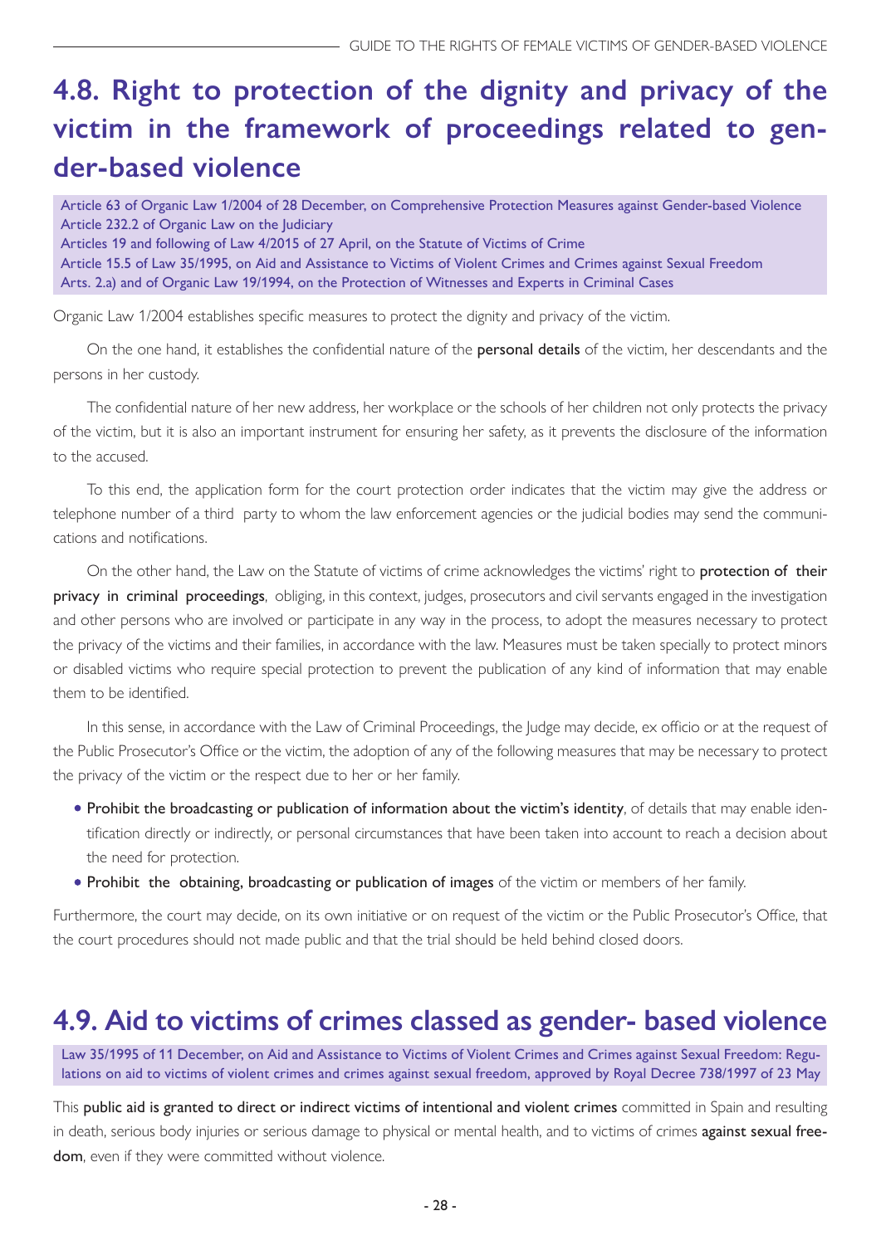## <span id="page-27-0"></span>**4.8. Right to protection of the dignity and privacy of the victim in the framework of proceedings related to gender-based violence**

Article 63 of Organic Law 1/2004 of 28 December, on Comprehensive Protection Measures against Gender-based Violence Article 232.2 of Organic Law on the Judiciary Articles 19 and following of Law 4/2015 of 27 April, on the Statute of Victims of Crime Article 15.5 of Law 35/1995, on Aid and Assistance to Victims of Violent Crimes and Crimes against Sexual Freedom Arts. 2.a) and of Organic Law 19/1994, on the Protection of Witnesses and Experts in Criminal Cases

Organic Law 1/2004 establishes specific measures to protect the dignity and privacy of the victim.

On the one hand, it establishes the confidential nature of the personal details of the victim, her descendants and the persons in her custody.

The confidential nature of her new address, her workplace or the schools of her children not only protects the privacy of the victim, but it is also an important instrument for ensuring her safety, as it prevents the disclosure of the information to the accused.

To this end, the application form for the court protection order indicates that the victim may give the address or telephone number of a third party to whom the law enforcement agencies or the judicial bodies may send the communications and notifications.

On the other hand, the Law on the Statute of victims of crime acknowledges the victims' right to protection of their privacy in criminal proceedings, obliging, in this context, judges, prosecutors and civil servants engaged in the investigation and other persons who are involved or participate in any way in the process, to adopt the measures necessary to protect the privacy of the victims and their families, in accordance with the law. Measures must be taken specially to protect minors or disabled victims who require special protection to prevent the publication of any kind of information that may enable them to be identified.

In this sense, in accordance with the Law of Criminal Proceedings, the Judge may decide, ex officio or at the request of the Public Prosecutor's Office or the victim, the adoption of any of the following measures that may be necessary to protect the privacy of the victim or the respect due to her or her family.

- Prohibit the broadcasting or publication of information about the victim's identity, of details that may enable identification directly or indirectly, or personal circumstances that have been taken into account to reach a decision about the need for protection.
- Prohibit the obtaining, broadcasting or publication of images of the victim or members of her family.

Furthermore, the court may decide, on its own initiative or on request of the victim or the Public Prosecutor's Office, that the court procedures should not made public and that the trial should be held behind closed doors.

## **4.9. Aid to victims of crimes classed as gender- based violence**

Law 35/1995 of 11 December, on Aid and Assistance to Victims of Violent Crimes and Crimes against Sexual Freedom: Regulations on aid to victims of violent crimes and crimes against sexual freedom, approved by Royal Decree 738/1997 of 23 May

This public aid is granted to direct or indirect victims of intentional and violent crimes committed in Spain and resulting in death, serious body injuries or serious damage to physical or mental health, and to victims of crimes against sexual freedom, even if they were committed without violence.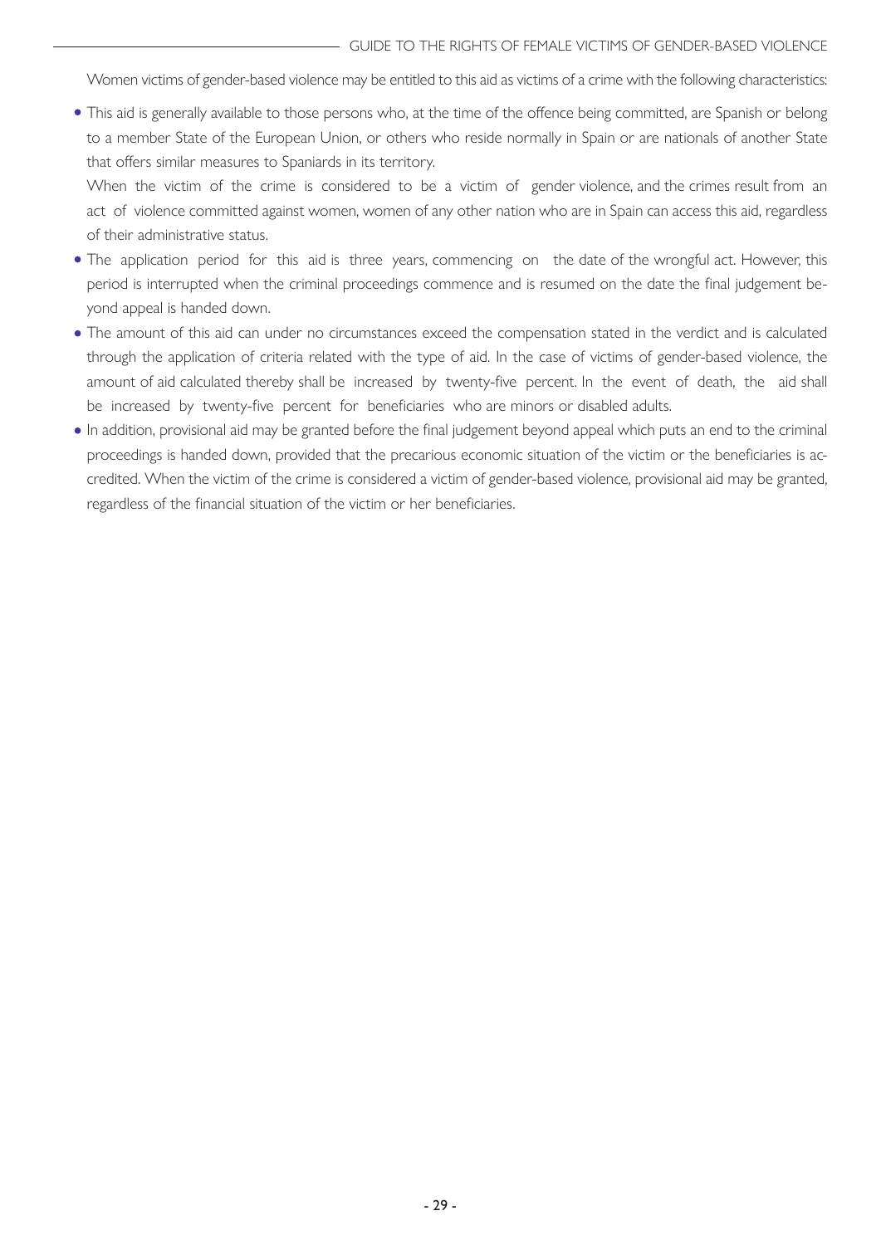Women victims of gender-based violence may be entitled to this aid as victims of a crime with the following characteristics:

This aid is generally available to those persons who, at the time of the offence being committed, are Spanish or belong to a member State of the European Union, or others who reside normally in Spain or are nationals of another State that offers similar measures to Spaniards in its territory.

When the victim of the crime is considered to be a victim of gender violence, and the crimes result from an act of violence committed against women, women of any other nation who are in Spain can access this aid, regardless of their administrative status.

- The application period for this aid is three years, commencing on the date of the wrongful act. However, this period is interrupted when the criminal proceedings commence and is resumed on the date the final judgement beyond appeal is handed down.
- The amount of this aid can under no circumstances exceed the compensation stated in the verdict and is calculated through the application of criteria related with the type of aid. In the case of victims of gender-based violence, the amount of aid calculated thereby shall be increased by twenty-five percent. In the event of death, the aid shall be increased by twenty-five percent for beneficiaries who are minors or disabled adults.
- In addition, provisional aid may be granted before the final judgement beyond appeal which puts an end to the criminal proceedings is handed down, provided that the precarious economic situation of the victim or the beneficiaries is accredited. When the victim of the crime is considered a victim of gender-based violence, provisional aid may be granted, regardless of the financial situation of the victim or her beneficiaries.